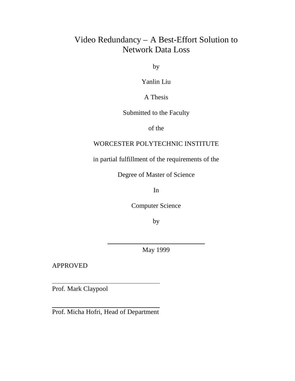# Video Redundancy – A Best-Effort Solution to Network Data Loss

by

Yanlin Liu

A Thesis

Submitted to the Faculty

of the

### WORCESTER POLYTECHNIC INSTITUTE

in partial fulfillment of the requirements of the

Degree of Master of Science

In

Computer Science

by

May 1999

APPROVED

Prof. Mark Claypool

Prof. Micha Hofri, Head of Department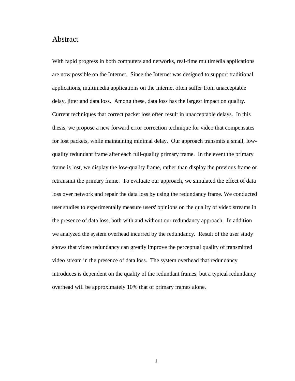### Abstract

With rapid progress in both computers and networks, real-time multimedia applications are now possible on the Internet. Since the Internet was designed to support traditional applications, multimedia applications on the Internet often suffer from unacceptable delay, jitter and data loss. Among these, data loss has the largest impact on quality. Current techniques that correct packet loss often result in unacceptable delays. In this thesis, we propose a new forward error correction technique for video that compensates for lost packets, while maintaining minimal delay. Our approach transmits a small, lowquality redundant frame after each full-quality primary frame. In the event the primary frame is lost, we display the low-quality frame, rather than display the previous frame or retransmit the primary frame. To evaluate our approach, we simulated the effect of data loss over network and repair the data loss by using the redundancy frame. We conducted user studies to experimentally measure users' opinions on the quality of video streams in the presence of data loss, both with and without our redundancy approach. In addition we analyzed the system overhead incurred by the redundancy. Result of the user study shows that video redundancy can greatly improve the perceptual quality of transmitted video stream in the presence of data loss. The system overhead that redundancy introduces is dependent on the quality of the redundant frames, but a typical redundancy overhead will be approximately 10% that of primary frames alone.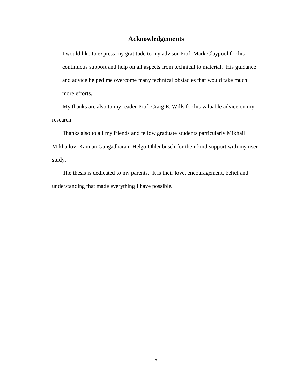### **Acknowledgements**

I would like to express my gratitude to my advisor Prof. Mark Claypool for his continuous support and help on all aspects from technical to material. His guidance and advice helped me overcome many technical obstacles that would take much more efforts.

My thanks are also to my reader Prof. Craig E. Wills for his valuable advice on my research.

Thanks also to all my friends and fellow graduate students particularly Mikhail Mikhailov, Kannan Gangadharan, Helgo Ohlenbusch for their kind support with my user study.

The thesis is dedicated to my parents. It is their love, encouragement, belief and understanding that made everything I have possible.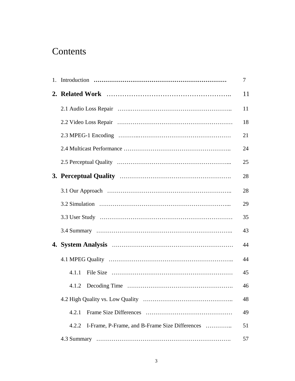# **Contents**

|                                                         | 7  |
|---------------------------------------------------------|----|
|                                                         | 11 |
|                                                         | 11 |
|                                                         | 18 |
|                                                         | 21 |
|                                                         | 24 |
|                                                         | 25 |
|                                                         | 28 |
|                                                         | 28 |
|                                                         | 29 |
|                                                         | 35 |
|                                                         | 43 |
|                                                         | 44 |
|                                                         | 44 |
| 4.1.1                                                   | 45 |
|                                                         | 46 |
|                                                         | 48 |
| 4.2.1                                                   | 49 |
| I-Frame, P-Frame, and B-Frame Size Differences<br>4.2.2 | 51 |
|                                                         | 57 |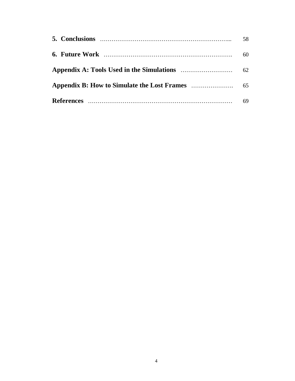| 58 |
|----|
| 60 |
|    |
|    |
| 69 |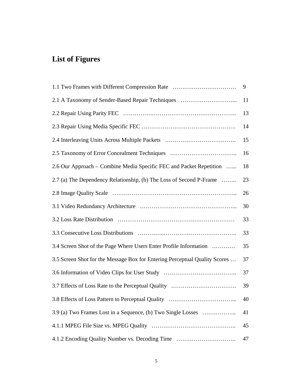# **List of Figures**

| 1.1 Two Frames with Different Compression Rate                             | 9  |
|----------------------------------------------------------------------------|----|
| 2.1 A Taxonomy of Sender-Based Repair Techniques                           | 11 |
|                                                                            | 13 |
|                                                                            | 14 |
| 2.4 Interleaving Units Across Multiple Packets                             | 15 |
|                                                                            | 16 |
| 2.6 Our Approach – Combine Media Specific FEC and Packet Repetition        | 18 |
| 2.7 (a) The Dependency Relationship, (b) The Loss of Second P-Frame        | 23 |
|                                                                            | 26 |
|                                                                            | 30 |
|                                                                            | 33 |
|                                                                            | 33 |
| 3.4 Screen Shot of the Page Where Users Enter Profile Information          | 35 |
| 3.5 Screen Shot for the Message Box for Entering Perceptual Quality Scores | 37 |
|                                                                            | 37 |
|                                                                            | 39 |
|                                                                            | 40 |
| 3.9 (a) Two Frames Lost in a Sequence, (b) Two Single Losses               | 41 |
|                                                                            | 45 |
| 4.1.2 Encoding Quality Number vs. Decoding Time                            | 47 |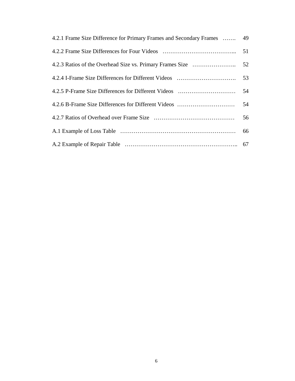| 4.2.1 Frame Size Difference for Primary Frames and Secondary Frames  49 |    |
|-------------------------------------------------------------------------|----|
|                                                                         |    |
|                                                                         |    |
|                                                                         |    |
|                                                                         |    |
| 4.2.6 B-Frame Size Differences for Different Videos                     | 54 |
|                                                                         |    |
|                                                                         |    |
|                                                                         |    |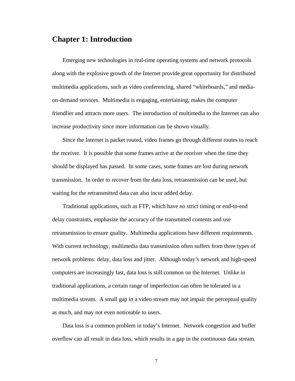### **Chapter 1: Introduction**

Emerging new technologies in real-time operating systems and network protocols along with the explosive growth of the Internet provide great opportunity for distributed multimedia applications, such as video conferencing, shared "whiteboards," and mediaon-demand services. Multimedia is engaging, entertaining, makes the computer friendlier and attracts more users. The introduction of multimedia to the Internet can also increase productivity since more information can be shown visually.

Since the Internet is packet routed, video frames go through different routes to reach the receiver. It is possible that some frames arrive at the receiver when the time they should be displayed has passed. In some cases, some frames are lost during network transmission. In order to recover from the data loss, retransmission can be used, but waiting for the retransmitted data can also incur added delay.

Traditional applications, such as FTP, which have no strict timing or end-to-end delay constraints, emphasize the accuracy of the transmitted contents and use retransmission to ensure quality. Multimedia applications have different requirements. With current technology, multimedia data transmission often suffers from three types of network problems: delay, data loss and jitter. Although today's network and high-speed computers are increasingly fast, data loss is still common on the Internet. Unlike in traditional applications, a certain range of imperfection can often be tolerated in a multimedia stream. A small gap in a video stream may not impair the perceptual quality as much, and may not even noticeable to users.

Data loss is a common problem in today's Internet. Network congestion and buffer overflow can all result in data loss, which results in a gap in the continuous data stream.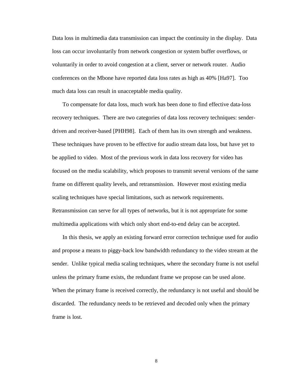Data loss in multimedia data transmission can impact the continuity in the display. Data loss can occur involuntarily from network congestion or system buffer overflows, or voluntarily in order to avoid congestion at a client, server or network router. Audio conferences on the Mbone have reported data loss rates as high as 40% [Ha97]. Too much data loss can result in unacceptable media quality.

To compensate for data loss, much work has been done to find effective data-loss recovery techniques. There are two categories of data loss recovery techniques: senderdriven and receiver-based [PHH98]. Each of them has its own strength and weakness. These techniques have proven to be effective for audio stream data loss, but have yet to be applied to video. Most of the previous work in data loss recovery for video has focused on the media scalability, which proposes to transmit several versions of the same frame on different quality levels, and retransmission. However most existing media scaling techniques have special limitations, such as network requirements. Retransmission can serve for all types of networks, but it is not appropriate for some multimedia applications with which only short end-to-end delay can be accepted.

In this thesis, we apply an existing forward error correction technique used for audio and propose a means to piggy-back low bandwidth redundancy to the video stream at the sender. Unlike typical media scaling techniques, where the secondary frame is not useful unless the primary frame exists, the redundant frame we propose can be used alone. When the primary frame is received correctly, the redundancy is not useful and should be discarded. The redundancy needs to be retrieved and decoded only when the primary frame is lost.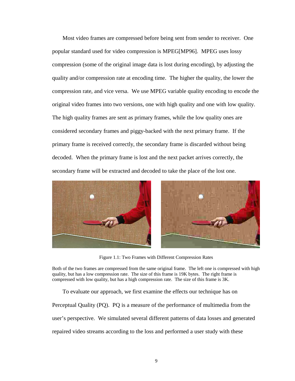Most video frames are compressed before being sent from sender to receiver. One popular standard used for video compression is MPEG[MP96]. MPEG uses lossy compression (some of the original image data is lost during encoding), by adjusting the quality and/or compression rate at encoding time. The higher the quality, the lower the compression rate, and vice versa. We use MPEG variable quality encoding to encode the original video frames into two versions, one with high quality and one with low quality. The high quality frames are sent as primary frames, while the low quality ones are considered secondary frames and piggy-backed with the next primary frame. If the primary frame is received correctly, the secondary frame is discarded without being decoded. When the primary frame is lost and the next packet arrives correctly, the secondary frame will be extracted and decoded to take the place of the lost one.



Figure 1.1: Two Frames with Different Compression Rates

Both of the two frames are compressed from the same original frame. The left one is compressed with high quality, but has a low compression rate. The size of this frame is 19K bytes. The right frame is compressed with low quality, but has a high compression rate. The size of this frame is 3K.

To evaluate our approach, we first examine the effects our technique has on

Perceptual Quality (PQ). PQ is a measure of the performance of multimedia from the user's perspective. We simulated several different patterns of data losses and generated repaired video streams according to the loss and performed a user study with these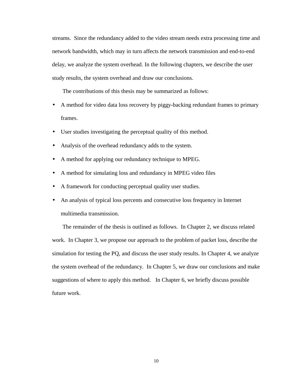streams. Since the redundancy added to the video stream needs extra processing time and network bandwidth, which may in turn affects the network transmission and end-to-end delay, we analyze the system overhead. In the following chapters, we describe the user study results, the system overhead and draw our conclusions.

The contributions of this thesis may be summarized as follows:

- A method for video data loss recovery by piggy-backing redundant frames to primary frames.
- User studies investigating the perceptual quality of this method.
- Analysis of the overhead redundancy adds to the system.
- A method for applying our redundancy technique to MPEG.
- A method for simulating loss and redundancy in MPEG video files
- A framework for conducting perceptual quality user studies.
- An analysis of typical loss percents and consecutive loss frequency in Internet multimedia transmission.

The remainder of the thesis is outlined as follows. In Chapter 2, we discuss related work. In Chapter 3, we propose our approach to the problem of packet loss, describe the simulation for testing the PQ, and discuss the user study results. In Chapter 4, we analyze the system overhead of the redundancy. In Chapter 5, we draw our conclusions and make suggestions of where to apply this method. In Chapter 6, we briefly discuss possible future work.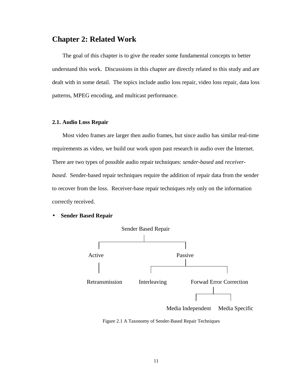### **Chapter 2: Related Work**

The goal of this chapter is to give the reader some fundamental concepts to better understand this work. Discussions in this chapter are directly related to this study and are dealt with in some detail. The topics include audio loss repair, video loss repair, data loss patterns, MPEG encoding, and multicast performance.

#### **2.1. Audio Loss Repair**

Most video frames are larger then audio frames, but since audio has similar real-time requirements as video, we build our work upon past research in audio over the Internet. There are two types of possible audio repair techniques: *sender-based* and *receiverbased*. Sender-based repair techniques require the addition of repair data from the sender to recover from the loss. Receiver-base repair techniques rely only on the information correctly received.

• **Sender Based Repair**



Figure 2.1 A Taxonomy of Sender-Based Repair Techniques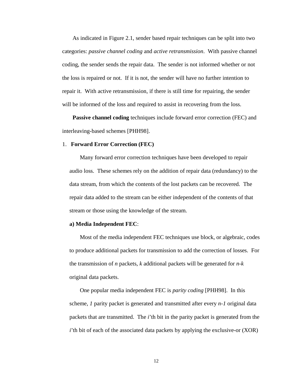As indicated in Figure 2.1, sender based repair techniques can be split into two categories: *passive channel coding* and *active retransmission*. With passive channel coding, the sender sends the repair data. The sender is not informed whether or not the loss is repaired or not. If it is not, the sender will have no further intention to repair it. With active retransmission, if there is still time for repairing, the sender will be informed of the loss and required to assist in recovering from the loss.

**Passive channel coding** techniques include forward error correction (FEC) and interleaving-based schemes [PHH98].

#### 1. **Forward Error Correction (FEC)**

Many forward error correction techniques have been developed to repair audio loss. These schemes rely on the addition of repair data (redundancy) to the data stream, from which the contents of the lost packets can be recovered. The repair data added to the stream can be either independent of the contents of that stream or those using the knowledge of the stream.

#### **a) Media Independent FEC**:

Most of the media independent FEC techniques use block, or algebraic, codes to produce additional packets for transmission to add the correction of losses. For the transmission of *n* packets, *k* additional packets will be generated for *n-k* original data packets.

One popular media independent FEC is *parity coding* [PHH98]. In this scheme, *1* parity packet is generated and transmitted after every *n-1* original data packets that are transmitted. The *i*'th bit in the parity packet is generated from the *i*'th bit of each of the associated data packets by applying the exclusive-or (XOR)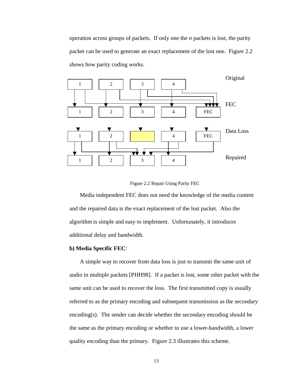operation across groups of packets. If only one the *n* packets is lost, the parity packet can be used to generate an exact replacement of the lost one. Figure 2.2 shows how parity coding works.



Figure 2.2 Repair Using Parity FEC

Media independent FEC does not need the knowledge of the media content and the repaired data is the exact replacement of the lost packet. Also the algorithm is simple and easy to implement. Unfortunately, it introduces additional delay and bandwidth.

#### **b) Media Specific FEC**:

A simple way to recover from data loss is just to transmit the same unit of audio in multiple packets [PHH98]. If a packet is lost, some other packet with the same unit can be used to recover the loss. The first transmitted copy is usually referred to as the primary encoding and subsequent transmission as the secondary encoding(s). The sender can decide whether the secondary encoding should be the same as the primary encoding or whether to use a lower-bandwidth, a lower quality encoding than the primary. Figure 2.3 illustrates this scheme.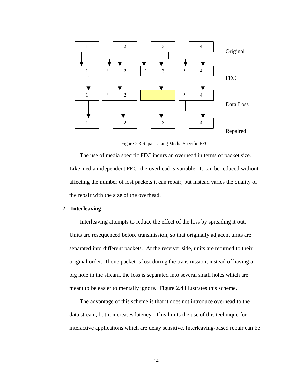

Figure 2.3 Repair Using Media Specific FEC

The use of media specific FEC incurs an overhead in terms of packet size. Like media independent FEC, the overhead is variable. It can be reduced without affecting the number of lost packets it can repair, but instead varies the quality of the repair with the size of the overhead.

#### 2. **Interleaving**

Interleaving attempts to reduce the effect of the loss by spreading it out. Units are resequenced before transmission, so that originally adjacent units are separated into different packets. At the receiver side, units are returned to their original order. If one packet is lost during the transmission, instead of having a big hole in the stream, the loss is separated into several small holes which are meant to be easier to mentally ignore. Figure 2.4 illustrates this scheme.

The advantage of this scheme is that it does not introduce overhead to the data stream, but it increases latency. This limits the use of this technique for interactive applications which are delay sensitive. Interleaving-based repair can be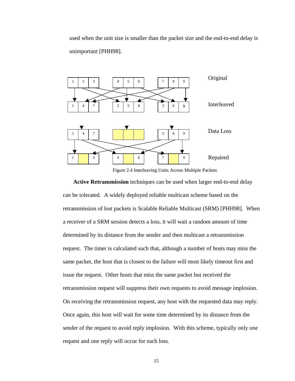used when the unit size is smaller than the packet size and the end-to-end delay is unimportant [PHH98].



Figure 2.4 Interleaving Units Across Multiple Packets

**Active Retransmission** techniques can be used when larger end-to-end delay can be tolerated. A widely deployed reliable multicast scheme based on the retransmission of lost packets is Scalable Reliable Multicast (SRM) [PHH98]. When a receiver of a SRM session detects a loss, it will wait a random amount of time determined by its distance from the sender and then multicast a retransmission request. The timer is calculated such that, although a number of hosts may miss the same packet, the host that is closest to the failure will most likely timeout first and issue the request. Other hosts that miss the same packet but received the retransmission request will suppress their own requests to avoid message implosion. On receiving the retransmission request, any host with the requested data may reply. Once again, this host will wait for some time determined by its distance from the sender of the request to avoid reply implosion. With this scheme, typically only one request and one reply will occur for each loss.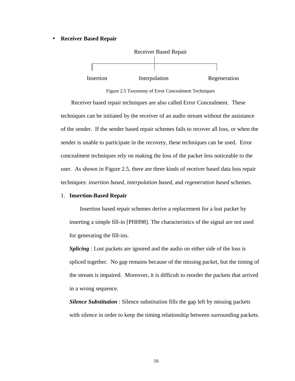#### • **Receiver Based Repair**



Figure 2.5 Taxonomy of Error Concealment Techniques

Receiver based repair techniques are also called Error Concealment. These techniques can be initiated by the receiver of an audio stream without the assistance of the sender. If the sender based repair schemes fails to recover all loss, or when the sender is unable to participate in the recovery, these techniques can be used. Error concealment techniques rely on making the loss of the packet less noticeable to the user. As shown in Figure 2.5, there are three kinds of receiver based data loss repair techniques: *insertion based*, *interpolation based*, and *regeneration based* schemes.

#### 1. **Insertion-Based Repair**

Insertion based repair schemes derive a replacement for a lost packet by inserting a simple fill-in [PHH98]. The characteristics of the signal are not used for generating the fill-ins.

*Splicing* : Lost packets are ignored and the audio on either side of the loss is spliced together. No gap remains because of the missing packet, but the timing of the stream is impaired. Moreover, it is difficult to reorder the packets that arrived in a wrong sequence.

*Silence Substitution* : Silence substitution fills the gap left by missing packets with silence in order to keep the timing relationship between surrounding packets.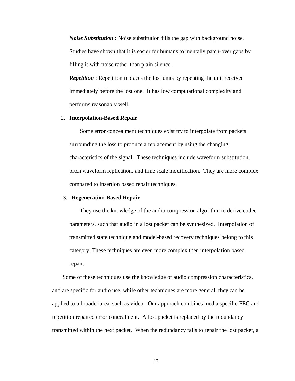*Noise Substitution* : Noise substitution fills the gap with background noise. Studies have shown that it is easier for humans to mentally patch-over gaps by filling it with noise rather than plain silence.

*Repetition* : Repetition replaces the lost units by repeating the unit received immediately before the lost one. It has low computational complexity and performs reasonably well.

#### 2. **Interpolation-Based Repair**

Some error concealment techniques exist try to interpolate from packets surrounding the loss to produce a replacement by using the changing characteristics of the signal. These techniques include waveform substitution, pitch waveform replication, and time scale modification. They are more complex compared to insertion based repair techniques.

#### 3. **Regeneration-Based Repair**

They use the knowledge of the audio compression algorithm to derive codec parameters, such that audio in a lost packet can be synthesized. Interpolation of transmitted state technique and model-based recovery techniques belong to this category. These techniques are even more complex then interpolation based repair.

Some of these techniques use the knowledge of audio compression characteristics, and are specific for audio use, while other techniques are more general, they can be applied to a broader area, such as video. Our approach combines media specific FEC and repetition repaired error concealment. A lost packet is replaced by the redundancy transmitted within the next packet. When the redundancy fails to repair the lost packet, a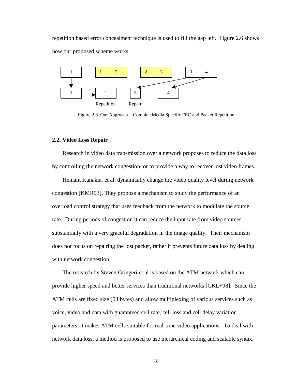repetition based error concealment technique is used to fill the gap left. Figure 2.6 shows how our proposed scheme works.



Figure 2.6 Our Approach – Combine Media Specific FEC and Packet Repetition

#### **2.2. Video Loss Repair**

Research in video data transmission over a network proposes to reduce the data loss by controlling the network congestion, or to provide a way to recover lost video frames.

Hemant Kanakia, et al. dynamically change the video quality level during network congestion [KMR93]. They propose a mechanism to study the performance of an overload control strategy that uses feedback from the network to modulate the source rate. During periods of congestion it can reduce the input rate from video sources substantially with a very graceful degradation in the image quality. Their mechanism does not focus on repairing the lost packet, rather it prevents future data loss by dealing with network congestion.

The research by Steven Gringeri et al is based on the ATM network which can provide higher speed and better services than traditional networks [GKL+98]. Since the ATM cells are fixed size (53 bytes) and allow multiplexing of various services such as voice, video and data with guaranteed cell rate, cell loss and cell delay variation parameters, it makes ATM cells suitable for real-time video applications. To deal with network data loss, a method is proposed to use hierarchical coding and scalable syntax.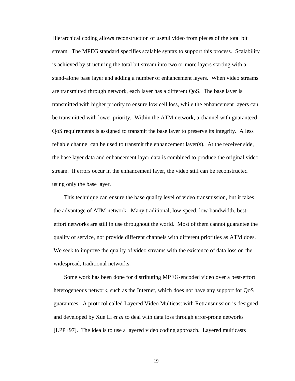Hierarchical coding allows reconstruction of useful video from pieces of the total bit stream. The MPEG standard specifies scalable syntax to support this process. Scalability is achieved by structuring the total bit stream into two or more layers starting with a stand-alone base layer and adding a number of enhancement layers. When video streams are transmitted through network, each layer has a different QoS. The base layer is transmitted with higher priority to ensure low cell loss, while the enhancement layers can be transmitted with lower priority. Within the ATM network, a channel with guaranteed QoS requirements is assigned to transmit the base layer to preserve its integrity. A less reliable channel can be used to transmit the enhancement layer(s). At the receiver side, the base layer data and enhancement layer data is combined to produce the original video stream. If errors occur in the enhancement layer, the video still can be reconstructed using only the base layer.

This technique can ensure the base quality level of video transmission, but it takes the advantage of ATM network. Many traditional, low-speed, low-bandwidth, besteffort networks are still in use throughout the world. Most of them cannot guarantee the quality of service, nor provide different channels with different priorities as ATM does. We seek to improve the quality of video streams with the existence of data loss on the widespread, traditional networks.

Some work has been done for distributing MPEG-encoded video over a best-effort heterogeneous network, such as the Internet, which does not have any support for QoS guarantees. A protocol called Layered Video Multicast with Retransmission is designed and developed by Xue Li *et al* to deal with data loss through error-prone networks [LPP+97]. The idea is to use a layered video coding approach. Layered multicasts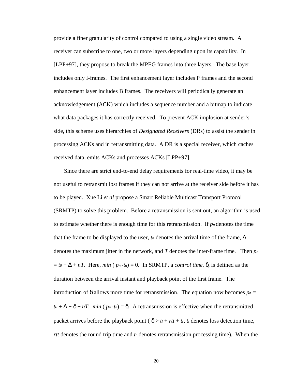provide a finer granularity of control compared to using a single video stream. A receiver can subscribe to one, two or more layers depending upon its capability. In [LPP+97], they propose to break the MPEG frames into three layers. The base layer includes only I-frames. The first enhancement layer includes P frames and the second enhancement layer includes B frames. The receivers will periodically generate an acknowledgement (ACK) which includes a sequence number and a bitmap to indicate what data packages it has correctly received. To prevent ACK implosion at sender's side, this scheme uses hierarchies of *Designated Receivers* (DRs) to assist the sender in processing ACKs and in retransmitting data. A DR is a special receiver, which caches received data, emits ACKs and processes ACKs [LPP+97].

Since there are strict end-to-end delay requirements for real-time video, it may be not useful to retransmit lost frames if they can not arrive at the receiver side before it has to be played. Xue Li *et al* propose a Smart Reliable Multicast Transport Protocol (SRMTP) to solve this problem. Before a retransmission is sent out, an algorithm is used to estimate whether there is enough time for this retransmission. If  $p_n$  denotes the time that the frame to be displayed to the user,  $t_n$  denotes the arrival time of the frame,  $\Delta$ denotes the maximum jitter in the network, and *T* denotes the inter-frame time. Then *p<sup>n</sup>*  $=$  *to* +  $\Delta$  + *nT*. Here, *min* ( *p<sub>n</sub>*-*t<sub>n</sub>*) = 0. In SRMTP, a *control time*,  $\delta$ , is defined as the duration between the arrival instant and playback point of the first frame. The introduction of  $\delta$  allows more time for retransmission. The equation now becomes  $p_n =$  $t_0 + \Delta + \delta + nT$ . *min* ( $p_n - t_n$ ) =  $\delta$ . A retransmission is effective when the retransmitted packet arrives before the playback point ( $\delta > t_l + rt_t + t_r$ , *tl* denotes loss detection time, *rtt* denotes the round trip time and *tr* denotes retransmission processing time). When the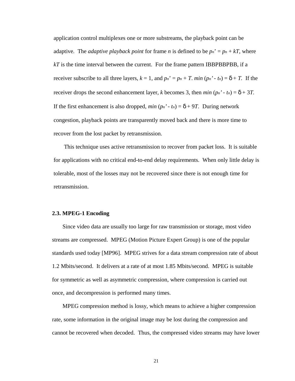application control multiplexes one or more substreams, the playback point can be adaptive. The *adaptive playback point* for frame *n* is defined to be  $p_n' = p_n + kT$ , where *kT* is the time interval between the current. For the frame pattern IBBPBBPBB, if a receiver subscribe to all three layers,  $k = 1$ , and  $p_n' = p_n + T$ . *min*  $(p_n' - t_n) = \delta + T$ . If the receiver drops the second enhancement layer, *k* becomes 3, then *min*  $(p_n' - t_n) = \delta + 3T$ . If the first enhancement is also dropped, *min*  $(p_n' - t_n) = \delta + 9T$ . During network congestion, playback points are transparently moved back and there is more time to recover from the lost packet by retransmission.

This technique uses active retransmission to recover from packet loss. It is suitable for applications with no critical end-to-end delay requirements. When only little delay is tolerable, most of the losses may not be recovered since there is not enough time for retransmission.

#### **2.3. MPEG-1 Encoding**

Since video data are usually too large for raw transmission or storage, most video streams are compressed. MPEG (Motion Picture Expert Group) is one of the popular standards used today [MP96]. MPEG strives for a data stream compression rate of about 1.2 Mbits/second. It delivers at a rate of at most 1.85 Mbits/second. MPEG is suitable for symmetric as well as asymmetric compression, where compression is carried out once, and decompression is performed many times.

MPEG compression method is lossy, which means to achieve a higher compression rate, some information in the original image may be lost during the compression and cannot be recovered when decoded. Thus, the compressed video streams may have lower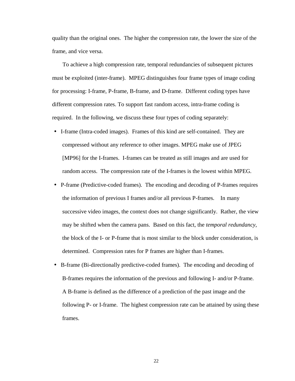quality than the original ones. The higher the compression rate, the lower the size of the frame, and vice versa.

To achieve a high compression rate, temporal redundancies of subsequent pictures must be exploited (inter-frame). MPEG distinguishes four frame types of image coding for processing: I-frame, P-frame, B-frame, and D-frame. Different coding types have different compression rates. To support fast random access, intra-frame coding is required. In the following, we discuss these four types of coding separately:

- I-frame (Intra-coded images). Frames of this kind are self-contained. They are compressed without any reference to other images. MPEG make use of JPEG [MP96] for the I-frames. I-frames can be treated as still images and are used for random access. The compression rate of the I-frames is the lowest within MPEG.
- P-frame (Predictive-coded frames). The encoding and decoding of P-frames requires the information of previous I frames and/or all previous P-frames. In many successive video images, the context does not change significantly. Rather, the view may be shifted when the camera pans. Based on this fact, the *temporal redundancy*, the block of the I- or P-frame that is most similar to the block under consideration, is determined. Compression rates for P frames are higher than I-frames.
- B-frame (Bi-directionally predictive-coded frames). The encoding and decoding of B-frames requires the information of the previous and following I- and/or P-frame. A B-frame is defined as the difference of a prediction of the past image and the following P- or I-frame. The highest compression rate can be attained by using these frames.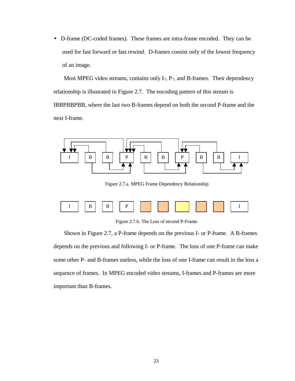• D-frame (DC-coded frames). These frames are intra-frame encoded. They can be used for fast forward or fast rewind. D-frames consist only of the lowest frequency of an image.

Most MPEG video streams, contains only I-, P-, and B-frames. Their dependency relationship is illustrated in Figure 2.7. The encoding pattern of this stream is IBBPBBPBB, where the last two B-frames depend on both the second P-frame and the next I-frame.



Figure 2.7.a. MPEG Frame Dependency Relationship



Figure 2.7.b. The Loss of second P-Frame.

Shown in Figure 2.7, a P-frame depends on the previous I- or P-frame. A B-frames depends on the previous and following I- or P-frame. The loss of one P-frame can make some other P- and B-frames useless, while the loss of one I-frame can result in the loss a sequence of frames. In MPEG encoded video streams, I-frames and P-frames are more important than B-frames.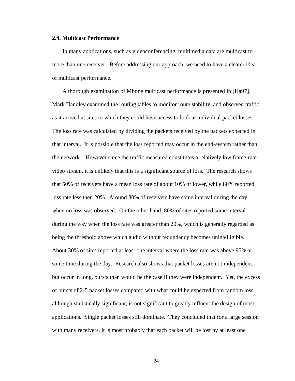#### **2.4. Multicast Performance**

In many applications, such as videoconferencing, multimedia data are multicast to more than one receiver. Before addressing our approach, we need to have a clearer idea of multicast performance.

A thorough examination of Mbone multicast performance is presented in [Ha97]. Mark Handley examined the routing tables to monitor route stability, and observed traffic as it arrived at sites to which they could have access to look at individual packet losses. The loss rate was calculated by dividing the packets received by the packets expected in that interval. It is possible that the loss reported may occur in the end-system rather than the network. However since the traffic measured constitutes a relatively low frame-rate video stream, it is unlikely that this is a significant source of loss. The research shows that 50% of receivers have a mean loss rate of about 10% or lower, while 80% reported loss rate less then 20%. Around 80% of receivers have some interval during the day when no loss was observed. On the other hand, 80% of sites reported some interval during the way when the loss rate was greater than 20%, which is generally regarded as being the threshold above which audio without redundancy becomes unintelligible. About 30% of sites reported at least one interval where the loss rate was above 95% at some time during the day. Research also shows that packet losses are not independent, but occur in long, bursts than would be the case if they were independent. Yet, the excess of bursts of 2-5 packet losses compared with what could be expected from random loss, although statistically significant, is not significant to greatly influent the design of most applications. Single packet losses still dominate. They concluded that for a large session with many receivers, it is most probably that each packet will be lost by at least one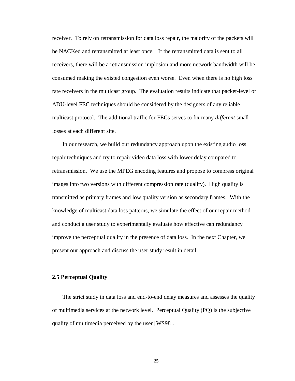receiver. To rely on retransmission for data loss repair, the majority of the packets will be NACKed and retransmitted at least once. If the retransmitted data is sent to all receivers, there will be a retransmission implosion and more network bandwidth will be consumed making the existed congestion even worse. Even when there is no high loss rate receivers in the multicast group. The evaluation results indicate that packet-level or ADU-level FEC techniques should be considered by the designers of any reliable multicast protocol. The additional traffic for FECs serves to fix many *different* small losses at each different site.

In our research, we build our redundancy approach upon the existing audio loss repair techniques and try to repair video data loss with lower delay compared to retransmission. We use the MPEG encoding features and propose to compress original images into two versions with different compression rate (quality). High quality is transmitted as primary frames and low quality version as secondary frames. With the knowledge of multicast data loss patterns, we simulate the effect of our repair method and conduct a user study to experimentally evaluate how effective can redundancy improve the perceptual quality in the presence of data loss. In the next Chapter, we present our approach and discuss the user study result in detail.

#### **2.5 Perceptual Quality**

The strict study in data loss and end-to-end delay measures and assesses the quality of multimedia services at the network level. Perceptual Quality (PQ) is the subjective quality of multimedia perceived by the user [WS98].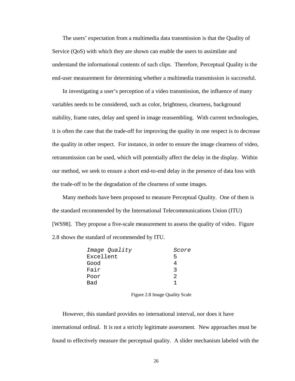The users' expectation from a multimedia data transmission is that the Quality of Service (QoS) with which they are shown can enable the users to assimilate and understand the informational contents of such clips. Therefore, Perceptual Quality is the end-user measurement for determining whether a multimedia transmission is successful.

In investigating a user's perception of a video transmission, the influence of many variables needs to be considered, such as color, brightness, clearness, background stability, frame rates, delay and speed in image reassembling. With current technologies, it is often the case that the trade-off for improving the quality in one respect is to decrease the quality in other respect. For instance, in order to ensure the image clearness of video, retransmission can be used, which will potentially affect the delay in the display. Within our method, we seek to ensure a short end-to-end delay in the presence of data loss with the trade-off to be the degradation of the clearness of some images.

Many methods have been proposed to measure Perceptual Quality. One of them is the standard recommended by the International Telecommunications Union (ITU) [WS98]. They propose a five-scale measurement to assess the quality of video. Figure 2.8 shows the standard of recommended by ITU.

| Score |
|-------|
| ь     |
|       |
| ર     |
| 2     |
|       |
|       |

Figure 2.8 Image Quality Scale

However, this standard provides no international interval, nor does it have international ordinal. It is not a strictly legitimate assessment. New approaches must be found to effectively measure the perceptual quality. A slider mechanism labeled with the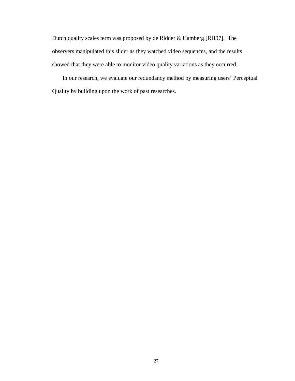Dutch quality scales term was proposed by de Ridder & Hamberg [RH97]. The observers manipulated this slider as they watched video sequences, and the results showed that they were able to monitor video quality variations as they occurred.

In our research, we evaluate our redundancy method by measuring users' Perceptual Quality by building upon the work of past researches.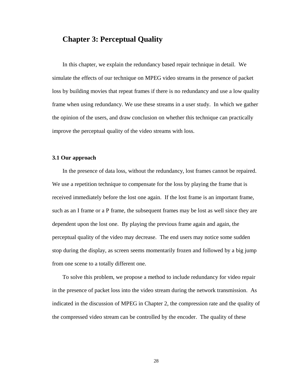### **Chapter 3: Perceptual Quality**

In this chapter, we explain the redundancy based repair technique in detail. We simulate the effects of our technique on MPEG video streams in the presence of packet loss by building movies that repeat frames if there is no redundancy and use a low quality frame when using redundancy. We use these streams in a user study. In which we gather the opinion of the users, and draw conclusion on whether this technique can practically improve the perceptual quality of the video streams with loss.

#### **3.1 Our approach**

In the presence of data loss, without the redundancy, lost frames cannot be repaired. We use a repetition technique to compensate for the loss by playing the frame that is received immediately before the lost one again. If the lost frame is an important frame, such as an I frame or a P frame, the subsequent frames may be lost as well since they are dependent upon the lost one. By playing the previous frame again and again, the perceptual quality of the video may decrease. The end users may notice some sudden stop during the display, as screen seems momentarily frozen and followed by a big jump from one scene to a totally different one.

To solve this problem, we propose a method to include redundancy for video repair in the presence of packet loss into the video stream during the network transmission. As indicated in the discussion of MPEG in Chapter 2, the compression rate and the quality of the compressed video stream can be controlled by the encoder. The quality of these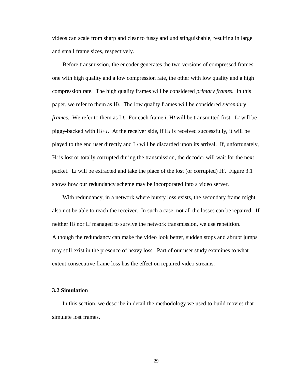videos can scale from sharp and clear to fussy and undistinguishable, resulting in large and small frame sizes, respectively.

Before transmission, the encoder generates the two versions of compressed frames, one with high quality and a low compression rate, the other with low quality and a high compression rate. The high quality frames will be considered *primary frames*. In this paper, we refer to them as H*i*. The low quality frames will be considered *secondary frames*. We refer to them as L*i*. For each frame *i*, H*i* will be transmitted first. L*i* will be piggy-backed with H*i+1*. At the receiver side, if H*i* is received successfully, it will be played to the end user directly and L*i* will be discarded upon its arrival. If, unfortunately, H*i* is lost or totally corrupted during the transmission, the decoder will wait for the next packet. L*i* will be extracted and take the place of the lost (or corrupted) H*i*. Figure 3.1 shows how our redundancy scheme may be incorporated into a video server.

With redundancy, in a network where bursty loss exists, the secondary frame might also not be able to reach the receiver. In such a case, not all the losses can be repaired. If neither H*i* nor L*i* managed to survive the network transmission, we use repetition. Although the redundancy can make the video look better, sudden stops and abrupt jumps may still exist in the presence of heavy loss. Part of our user study examines to what extent consecutive frame loss has the effect on repaired video streams.

#### **3.2 Simulation**

In this section, we describe in detail the methodology we used to build movies that simulate lost frames.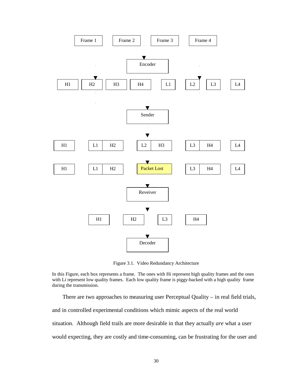

Figure 3.1. Video Redundancy Architecture

In this Figure, each box represents a frame. The ones with H*i* represent high quality frames and the ones with L*i* represent low quality frames. Each low quality frame is piggy-backed with a high quality frame during the transmission.

There are two approaches to measuring user Perceptual Quality – in real field trials, and in controlled experimental conditions which mimic aspects of the real world situation. Although field trails are more desirable in that they actually *are* what a user would expecting, they are costly and time-consuming, can be frustrating for the user and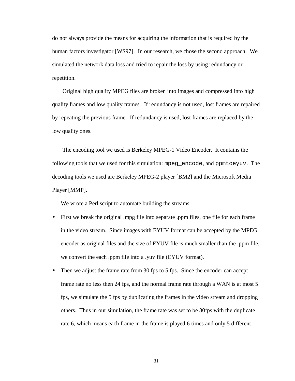do not always provide the means for acquiring the information that is required by the human factors investigator [WS97]. In our research, we chose the second approach. We simulated the network data loss and tried to repair the loss by using redundancy or repetition.

Original high quality MPEG files are broken into images and compressed into high quality frames and low quality frames. If redundancy is not used, lost frames are repaired by repeating the previous frame. If redundancy is used, lost frames are replaced by the low quality ones.

The encoding tool we used is Berkeley MPEG-1 Video Encoder. It contains the following tools that we used for this simulation: mpeg\_encode, and ppmtoeyuv. The decoding tools we used are Berkeley MPEG-2 player [BM2] and the Microsoft Media Player [MMP].

We wrote a Perl script to automate building the streams.

- First we break the original .mpg file into separate .ppm files, one file for each frame in the video stream. Since images with EYUV format can be accepted by the MPEG encoder as original files and the size of EYUV file is much smaller than the .ppm file, we convert the each .ppm file into a .yuv file (EYUV format).
- Then we adjust the frame rate from 30 fps to 5 fps. Since the encoder can accept frame rate no less then 24 fps, and the normal frame rate through a WAN is at most 5 fps, we simulate the 5 fps by duplicating the frames in the video stream and dropping others. Thus in our simulation, the frame rate was set to be 30fps with the duplicate rate 6, which means each frame in the frame is played 6 times and only 5 different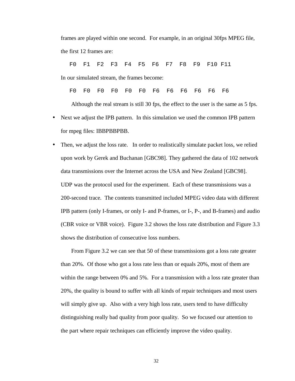frames are played within one second. For example, in an original 30fps MPEG file, the first 12 frames are:

F0 F1 F2 F3 F4 F5 F6 F7 F8 F9 F10 F11

In our simulated stream, the frames become:

F0 F0 F0 F0 F0 F0 F6 F6 F6 F6 F6 F6

Although the real stream is still 30 fps, the effect to the user is the same as 5 fps.

- Next we adjust the IPB pattern. In this simulation we used the common IPB pattern for mpeg files: IBBPBBPBB.
- Then, we adjust the loss rate. In order to realistically simulate packet loss, we relied upon work by Gerek and Buchanan [GBC98]. They gathered the data of 102 network data transmissions over the Internet across the USA and New Zealand [GBC98]. UDP was the protocol used for the experiment. Each of these transmissions was a 200-second trace. The contents transmitted included MPEG video data with different IPB pattern (only I-frames, or only I- and P-frames, or I-, P-, and B-frames) and audio (CBR voice or VBR voice). Figure 3.2 shows the loss rate distribution and Figure 3.3 shows the distribution of consecutive loss numbers.

From Figure 3.2 we can see that 50 of these transmissions got a loss rate greater than 20%. Of those who got a loss rate less than or equals 20%, most of them are within the range between 0% and 5%. For a transmission with a loss rate greater than 20%, the quality is bound to suffer with all kinds of repair techniques and most users will simply give up. Also with a very high loss rate, users tend to have difficulty distinguishing really bad quality from poor quality. So we focused our attention to the part where repair techniques can efficiently improve the video quality.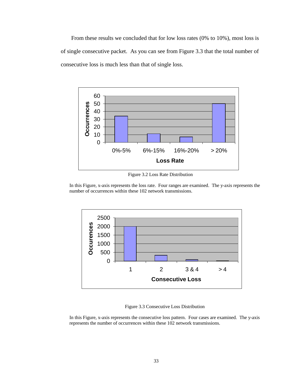From these results we concluded that for low loss rates (0% to 10%), most loss is of single consecutive packet. As you can see from Figure 3.3 that the total number of consecutive loss is much less than that of single loss.



Figure 3.2 Loss Rate Distribution

In this Figure, x-axis represents the loss rate. Four ranges are examined. The y-axis represents the number of occurrences within these 102 network transmissions.



Figure 3.3 Consecutive Loss Distribution

In this Figure, x-axis represents the consecutive loss pattern. Four cases are examined. The y-axis represents the number of occurrences within these 102 network transmissions.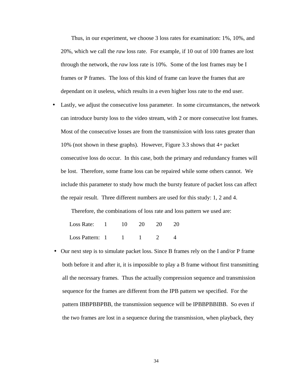Thus, in our experiment, we choose 3 loss rates for examination: 1%, 10%, and 20%, which we call the *raw* loss rate. For example, if 10 out of 100 frames are lost through the network, the *raw* loss rate is 10%. Some of the lost frames may be I frames or P frames. The loss of this kind of frame can leave the frames that are dependant on it useless, which results in a even higher loss rate to the end user.

• Lastly, we adjust the consecutive loss parameter. In some circumstances, the network can introduce bursty loss to the video stream, with 2 or more consecutive lost frames. Most of the consecutive losses are from the transmission with loss rates greater than 10% (not shown in these graphs). However, Figure 3.3 shows that 4+ packet consecutive loss do occur. In this case, both the primary and redundancy frames will be lost. Therefore, some frame loss can be repaired while some others cannot. We include this parameter to study how much the bursty feature of packet loss can affect the repair result. Three different numbers are used for this study: 1, 2 and 4.

Therefore, the combinations of loss rate and loss pattern we used are:

| Loss Rate:      | $10 -$ | 20 | 20 | -20 |
|-----------------|--------|----|----|-----|
| Loss Pattern: 1 |        |    |    |     |

• Our next step is to simulate packet loss. Since B frames rely on the I and/or P frame both before it and after it, it is impossible to play a B frame without first transmitting all the necessary frames. Thus the actually compression sequence and transmission sequence for the frames are different from the IPB pattern we specified. For the pattern IBBPBBPBB, the transmission sequence will be IPBBPBBIBB. So even if the two frames are lost in a sequence during the transmission, when playback, they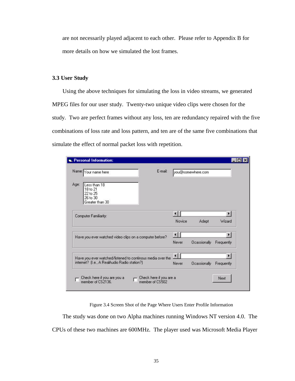are not necessarily played adjacent to each other. Please refer to Appendix B for more details on how we simulated the lost frames.

#### **3.3 User Study**

Using the above techniques for simulating the loss in video streams, we generated MPEG files for our user study. Twenty-two unique video clips were chosen for the study. Two are perfect frames without any loss, ten are redundancy repaired with the five combinations of loss rate and loss pattern, and ten are of the same five combinations that simulate the effect of normal packet loss with repetition.

|      | E-mail:<br>Name: Your name here                                     |        | you@somewhere.com   |            |
|------|---------------------------------------------------------------------|--------|---------------------|------------|
| Age: | Less than 18<br>18 to 21<br>22 to 25<br>26 to 30<br>Greater than 30 |        |                     |            |
|      | Computer Familiarity:                                               |        |                     |            |
|      |                                                                     | Novice | Adept               | Wizard     |
|      | Have you ever watched video clips on a computer before?             | K.     |                     |            |
|      |                                                                     | Never  | Ocassionally        | Frequently |
|      | Have you ever watched/listened to continous media over the          |        |                     |            |
|      | internet? (I.e., A RealAudio Radio station?)                        | Never  | <b>Ocassionally</b> | Frequently |

Figure 3.4 Screen Shot of the Page Where Users Enter Profile Information

The study was done on two Alpha machines running Windows NT version 4.0. The CPUs of these two machines are 600MHz. The player used was Microsoft Media Player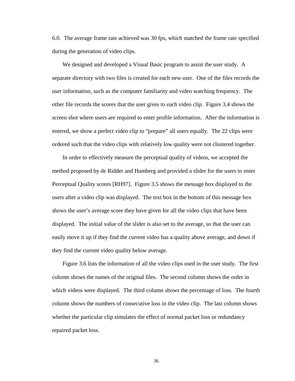6.0. The average frame rate achieved was 30 fps, which matched the frame rate specified during the generation of video clips.

We designed and developed a Visual Basic program to assist the user study. A separate directory with two files is created for each new user. One of the files records the user information, such as the computer familiarity and video watching frequency. The other file records the scores that the user gives to each video clip. Figure 3.4 shows the screen shot where users are required to enter profile information. After the information is entered, we show a perfect video clip to "prepare" all users equally. The 22 clips were ordered such that the video clips with relatively low quality were not clustered together.

In order to effectively measure the perceptual quality of videos, we accepted the method proposed by de Ridder and Hamberg and provided a slider for the users to enter Perceptual Quality scores [RH97]. Figure 3.5 shows the message box displayed to the users after a video clip was displayed. The text box in the bottom of this message box shows the user's average score they have given for all the video clips that have been displayed. The initial value of the slider is also set to the average, so that the user can easily move it up if they find the current video has a quality above average, and down if they find the current video quality below average.

Figure 3.6 lists the information of all the video clips used in the user study. The first column shows the names of the original files. The second column shows the order in which videos were displayed. The third column shows the percentage of loss. The fourth column shows the numbers of consecutive loss in the video clip. The last column shows whether the particular clip simulates the effect of normal packet loss or redundancy repaired packet loss.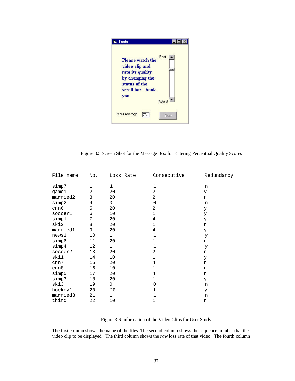| Tests                                                                                                                 |       |
|-----------------------------------------------------------------------------------------------------------------------|-------|
| <b>Please watch the</b><br>video clip and<br>rate its quality<br>by changing the<br>status of the<br>scroll bar.Thank | Best  |
| you.                                                                                                                  | Worst |
| Your Average<br>176                                                                                                   | Next  |

Figure 3.5 Screen Shot for the Message Box for Entering Perceptual Quality Scores

| File name | $\mathbb N$ o. | ---------    | Loss Rate Consecutive<br>. _ _ _ _ _ _ _ _ _ _ _ _ _ | Redundancy |
|-----------|----------------|--------------|------------------------------------------------------|------------|
| simp7     | $\mathbf{1}$   | $\mathbf{1}$ | 1                                                    | n          |
| game1     | 2              | 20           | 2                                                    | У          |
| married2  | 3              | 20           | 2                                                    | n          |
| simp2     | $\overline{4}$ | $\mathbf 0$  | $\mathbf 0$                                          | n          |
| cnn6      | 5              | 20           | $\overline{2}$                                       | У          |
| soccer1   | $\epsilon$     | 10           | $\mathbf{1}$                                         | У          |
| simp1     | 7              | 20           | 4                                                    | У          |
| ski2      | 8              | 20           | $\mathbf{1}$                                         | n          |
| married1  | 9              | 20           | 4                                                    | У          |
| news1     | 10             | $\mathbf{1}$ | $\mathbf{1}$                                         | У          |
| simp6     | 11             | 20           | $\mathbf{1}$                                         | n          |
| simp4     | 12             | $\mathbf{1}$ | $\mathbf 1$                                          | У          |
| soccer2   | 13             | 20           | $\overline{2}$                                       | n          |
| ski1      | 14             | 10           | $\mathbf{1}$                                         | У          |
| cnn7      | 15             | 20           | 4                                                    | n          |
| cnn8      | 16             | 10           | $\mathbf{1}$                                         | n          |
| simp5     | 17             | 20           | 4                                                    | n          |
| simp3     | 18             | 20           | $\mathbf{1}$                                         | У          |
| ski3      | 19             | 0            | $\mathbf 0$                                          | n          |
| hockey1   | 20             | 20           | 1                                                    | У          |
| married3  | 21             | $\mathbf 1$  | 1                                                    | n          |
| third     | 22             | 10           | 1                                                    | n          |

Figure 3.6 Information of the Video Clips for User Study

The first column shows the name of the files. The second column shows the sequence number that the video clip to be displayed. The third column shows the *raw* loss rate of that video. The fourth column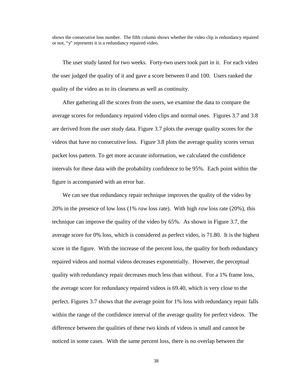shows the consecutive loss number. The fifth column shows whether the video clip is redundancy repaired or not, "y" represents it is a redundancy repaired video.

The user study lasted for two weeks. Forty-two users took part in it. For each video the user judged the quality of it and gave a score between 0 and 100. Users ranked the quality of the video as to its clearness as well as continuity.

After gathering all the scores from the users, we examine the data to compare the average scores for redundancy repaired video clips and normal ones. Figures 3.7 and 3.8 are derived from the user study data. Figure 3.7 plots the average quality scores for the videos that have no consecutive loss. Figure 3.8 plots the average quality scores versus packet loss pattern. To get more accurate information, we calculated the confidence intervals for these data with the probability confidence to be 95%. Each point within the figure is accompanied with an error bar.

We can see that redundancy repair technique improves the quality of the video by 20% in the presence of low loss (1% *raw* loss rate). With high *raw* loss rate (20%), this technique can improve the quality of the video by 65%. As shown in Figure 3.7, the average score for 0% loss, which is considered as perfect video, is 71.80. It is the highest score in the figure. With the increase of the percent loss, the quality for both redundancy repaired videos and normal videos decreases exponentially. However, the perceptual quality with redundancy repair decreases much less than without. For a 1% frame loss, the average score for redundancy repaired videos is 69.40, which is very close to the perfect. Figures 3.7 shows that the average point for 1% loss with redundancy repair falls within the range of the confidence interval of the average quality for perfect videos. The difference between the qualities of these two kinds of videos is small and cannot be noticed in some cases. With the same percent loss, there is no overlap between the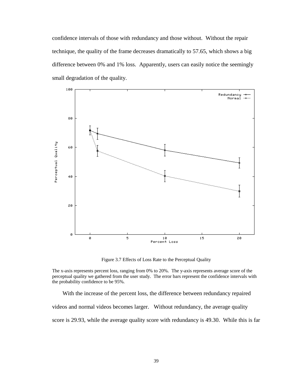confidence intervals of those with redundancy and those without. Without the repair technique, the quality of the frame decreases dramatically to 57.65, which shows a big difference between 0% and 1% loss. Apparently, users can easily notice the seemingly small degradation of the quality.



Figure 3.7 Effects of Loss Rate to the Perceptual Quality

The x-axis represents percent loss, ranging from 0% to 20%. The y-axis represents average score of the perceptual quality we gathered from the user study. The error bars represent the confidence intervals with the probability confidence to be 95%.

With the increase of the percent loss, the difference between redundancy repaired videos and normal videos becomes larger. Without redundancy, the average quality score is 29.93, while the average quality score with redundancy is 49.30. While this is far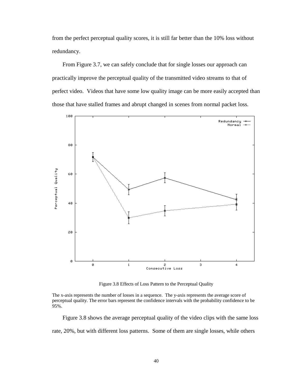from the perfect perceptual quality scores, it is still far better than the 10% loss without redundancy.

From Figure 3.7, we can safely conclude that for single losses our approach can practically improve the perceptual quality of the transmitted video streams to that of perfect video. Videos that have some low quality image can be more easily accepted than those that have stalled frames and abrupt changed in scenes from normal packet loss.

![](_page_40_Figure_2.jpeg)

Figure 3.8 Effects of Loss Pattern to the Perceptual Quality

The x-axis represents the number of losses in a sequence. The y-axis represents the average score of perceptual quality. The error bars represent the confidence intervals with the probability confidence to be 95%.

Figure 3.8 shows the average perceptual quality of the video clips with the same loss rate, 20%, but with different loss patterns. Some of them are single losses, while others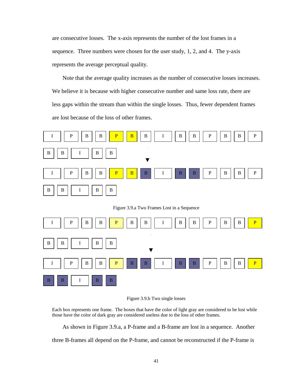are consecutive losses. The x-axis represents the number of the lost frames in a sequence. Three numbers were chosen for the user study, 1, 2, and 4. The y-axis represents the average perceptual quality.

Note that the average quality increases as the number of consecutive losses increases. We believe it is because with higher consecutive number and same loss rate, there are less gaps within the stream than within the single losses. Thus, fewer dependent frames are lost because of the loss of other frames.

![](_page_41_Figure_2.jpeg)

Figure 3.9.a Two Frames Lost in a Sequence

![](_page_41_Figure_4.jpeg)

![](_page_41_Figure_5.jpeg)

Each box represents one frame. The boxes that have the color of light gray are considered to be lost while those have the color of dark gray are considered useless due to the loss of other frames.

As shown in Figure 3.9.a, a P-frame and a B-frame are lost in a sequence. Another

three B-frames all depend on the P-frame, and cannot be reconstructed if the P-frame is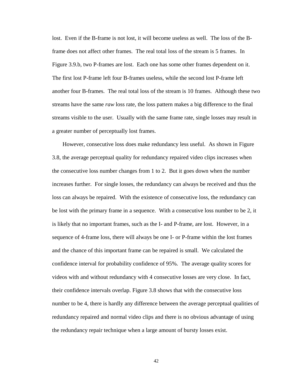lost. Even if the B-frame is not lost, it will become useless as well. The loss of the Bframe does not affect other frames. The real total loss of the stream is 5 frames. In Figure 3.9.b, two P-frames are lost. Each one has some other frames dependent on it. The first lost P-frame left four B-frames useless, while the second lost P-frame left another four B-frames. The real total loss of the stream is 10 frames. Although these two streams have the same *raw* loss rate, the loss pattern makes a big difference to the final streams visible to the user. Usually with the same frame rate, single losses may result in a greater number of perceptually lost frames.

However, consecutive loss does make redundancy less useful. As shown in Figure 3.8, the average perceptual quality for redundancy repaired video clips increases when the consecutive loss number changes from 1 to 2. But it goes down when the number increases further. For single losses, the redundancy can always be received and thus the loss can always be repaired. With the existence of consecutive loss, the redundancy can be lost with the primary frame in a sequence. With a consecutive loss number to be 2, it is likely that no important frames, such as the I- and P-frame, are lost. However, in a sequence of 4-frame loss, there will always be one I- or P-frame within the lost frames and the chance of this important frame can be repaired is small. We calculated the confidence interval for probability confidence of 95%. The average quality scores for videos with and without redundancy with 4 consecutive losses are very close. In fact, their confidence intervals overlap. Figure 3.8 shows that with the consecutive loss number to be 4, there is hardly any difference between the average perceptual qualities of redundancy repaired and normal video clips and there is no obvious advantage of using the redundancy repair technique when a large amount of bursty losses exist.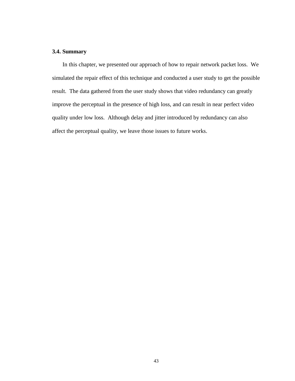### **3.4. Summary**

In this chapter, we presented our approach of how to repair network packet loss. We simulated the repair effect of this technique and conducted a user study to get the possible result. The data gathered from the user study shows that video redundancy can greatly improve the perceptual in the presence of high loss, and can result in near perfect video quality under low loss. Although delay and jitter introduced by redundancy can also affect the perceptual quality, we leave those issues to future works.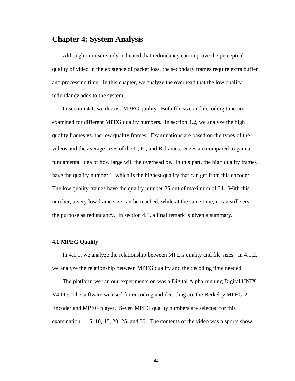### **Chapter 4: System Analysis**

Although our user study indicated that redundancy can improve the perceptual quality of video in the existence of packet loss, the secondary frames require extra buffer and processing time. In this chapter, we analyze the overhead that the low quality redundancy adds to the system.

In section 4.1, we discuss MPEG quality. Both file size and decoding time are examined for different MPEG quality numbers. In section 4.2, we analyze the high quality frames vs. the low quality frames. Examinations are based on the types of the videos and the average sizes of the I-, P-, and B-frames. Sizes are compared to gain a fundamental idea of how large will the overhead be. In this part, the high quality frames have the quality number 1, which is the highest quality that can get from this encoder. The low quality frames have the quality number 25 out of maximum of 31. With this number, a very low frame size can be reached, while at the same time, it can still serve the purpose as redundancy. In section 4.3, a final remark is given a summary.

#### **4.1 MPEG Quality**

In 4.1.1, we analyze the relationship between MPEG quality and file sizes. In 4.1.2, we analyze the relationship between MPEG quality and the decoding time needed.

The platform we ran our experiments on was a Digital Alpha running Digital UNIX V4.0D. The software we used for encoding and decoding are the Berkeley MPEG-2 Encoder and MPEG player. Seven MPEG quality numbers are selected for this examination: 1, 5, 10, 15, 20, 25, and 30. The contents of the video was a sports show.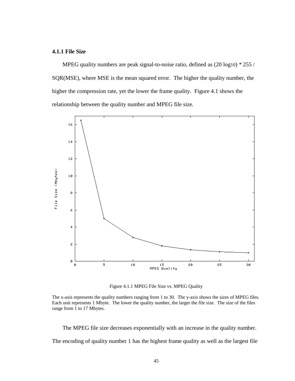#### **4.1.1 File Size**

MPEG quality numbers are peak signal-to-noise ratio, defined as (20 log10) \* 255 / SQR(MSE), where MSE is the mean squared error. The higher the quality number, the higher the compression rate, yet the lower the frame quality. Figure 4.1 shows the relationship between the quality number and MPEG file size.

![](_page_45_Figure_2.jpeg)

Figure 4.1.1 MPEG File Size vs. MPEG Quality

The MPEG file size decreases exponentially with an increase in the quality number. The encoding of quality number 1 has the highest frame quality as well as the largest file

The x-axis represents the quality numbers ranging from 1 to 30. The y-axis shows the sizes of MPEG files. Each unit represents 1 Mbyte. The lower the quality number, the larger the file size. The size of the files range from 1 to 17 Mbytes.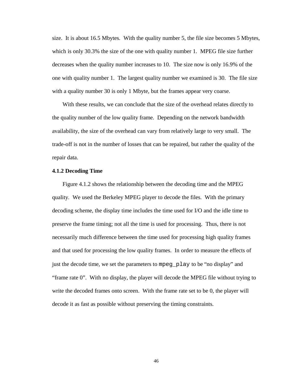size. It is about 16.5 Mbytes. With the quality number 5, the file size becomes 5 Mbytes, which is only 30.3% the size of the one with quality number 1. MPEG file size further decreases when the quality number increases to 10. The size now is only 16.9% of the one with quality number 1. The largest quality number we examined is 30. The file size with a quality number 30 is only 1 Mbyte, but the frames appear very coarse.

With these results, we can conclude that the size of the overhead relates directly to the quality number of the low quality frame. Depending on the network bandwidth availability, the size of the overhead can vary from relatively large to very small. The trade-off is not in the number of losses that can be repaired, but rather the quality of the repair data.

#### **4.1.2 Decoding Time**

Figure 4.1.2 shows the relationship between the decoding time and the MPEG quality. We used the Berkeley MPEG player to decode the files. With the primary decoding scheme, the display time includes the time used for I/O and the idle time to preserve the frame timing; not all the time is used for processing. Thus, there is not necessarily much difference between the time used for processing high quality frames and that used for processing the low quality frames. In order to measure the effects of just the decode time, we set the parameters to mpeg\_play to be "no display" and "frame rate 0". With no display, the player will decode the MPEG file without trying to write the decoded frames onto screen. With the frame rate set to be 0, the player will decode it as fast as possible without preserving the timing constraints.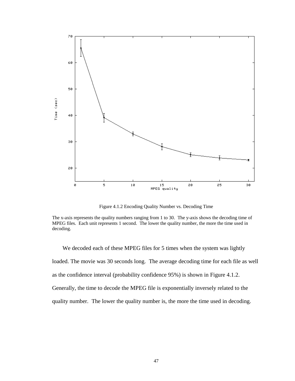![](_page_47_Figure_0.jpeg)

Figure 4.1.2 Encoding Quality Number vs. Decoding Time

We decoded each of these MPEG files for 5 times when the system was lightly loaded. The movie was 30 seconds long. The average decoding time for each file as well as the confidence interval (probability confidence 95%) is shown in Figure 4.1.2. Generally, the time to decode the MPEG file is exponentially inversely related to the quality number. The lower the quality number is, the more the time used in decoding.

The x-axis represents the quality numbers ranging from 1 to 30. The y-axis shows the decoding time of MPEG files. Each unit represents 1 second. The lower the quality number, the more the time used in decoding.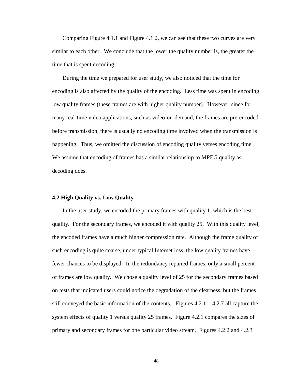Comparing Figure 4.1.1 and Figure 4.1.2, we can see that these two curves are very similar to each other. We conclude that the lower the quality number is, the greater the time that is spent decoding.

During the time we prepared for user study, we also noticed that the time for encoding is also affected by the quality of the encoding. Less time was spent in encoding low quality frames (these frames are with higher quality number). However, since for many real-time video applications, such as video-on-demand, the frames are pre-encoded before transmission, there is usually no encoding time involved when the transmission is happening. Thus, we omitted the discussion of encoding quality verses encoding time. We assume that encoding of frames has a similar relationship to MPEG quality as decoding does.

#### **4.2 High Quality vs. Low Quality**

In the user study, we encoded the primary frames with quality 1, which is the best quality. For the secondary frames, we encoded it with quality 25. With this quality level, the encoded frames have a much higher compression rate. Although the frame quality of such encoding is quite coarse, under typical Internet loss, the low quality frames have fewer chances to be displayed. In the redundancy repaired frames, only a small percent of frames are low quality. We chose a quality level of 25 for the secondary frames based on tests that indicated users could notice the degradation of the clearness, but the frames still conveyed the basic information of the contents. Figures 4.2.1 – 4.2.7 all capture the system effects of quality 1 versus quality 25 frames. Figure 4.2.1 compares the sizes of primary and secondary frames for one particular video stream. Figures 4.2.2 and 4.2.3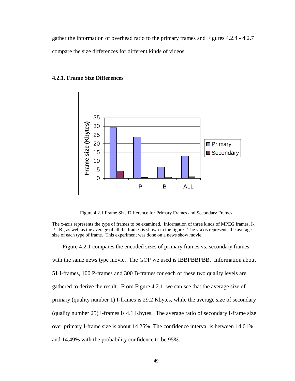gather the information of overhead ratio to the primary frames and Figures 4.2.4 - 4.2.7 compare the size differences for different kinds of videos.

![](_page_49_Figure_1.jpeg)

#### **4.2.1. Frame Size Differences**

Figure 4.2.1 Frame Size Difference for Primary Frames and Secondary Frames

The x-axis represents the type of frames to be examined. Information of three kinds of MPEG frames, I-, P-, B-, as well as the average of all the frames is shown in the figure. The y-axis represents the average size of each type of frame. This experiment was done on a news show movie.

Figure 4.2.1 compares the encoded sizes of primary frames vs. secondary frames with the same news type movie. The GOP we used is IBBPBBPBB. Information about 51 I-frames, 100 P-frames and 300 B-frames for each of these two quality levels are gathered to derive the result. From Figure 4.2.1, we can see that the average size of primary (quality number 1) I-frames is 29.2 Kbytes, while the average size of secondary (quality number 25) I-frames is 4.1 Kbytes. The average ratio of secondary I-frame size over primary I-frame size is about 14.25%. The confidence interval is between 14.01% and 14.49% with the probability confidence to be 95%.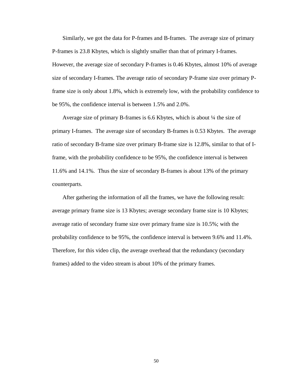Similarly, we got the data for P-frames and B-frames. The average size of primary P-frames is 23.8 Kbytes, which is slightly smaller than that of primary I-frames. However, the average size of secondary P-frames is 0.46 Kbytes, almost 10% of average size of secondary I-frames. The average ratio of secondary P-frame size over primary Pframe size is only about 1.8%, which is extremely low, with the probability confidence to be 95%, the confidence interval is between 1.5% and 2.0%.

Average size of primary B-frames is 6.6 Kbytes, which is about ¼ the size of primary I-frames. The average size of secondary B-frames is 0.53 Kbytes. The average ratio of secondary B-frame size over primary B-frame size is 12.8%, similar to that of Iframe, with the probability confidence to be 95%, the confidence interval is between 11.6% and 14.1%. Thus the size of secondary B-frames is about 13% of the primary counterparts.

After gathering the information of all the frames, we have the following result: average primary frame size is 13 Kbytes; average secondary frame size is 10 Kbytes; average ratio of secondary frame size over primary frame size is 10.5%; with the probability confidence to be 95%, the confidence interval is between 9.6% and 11.4%. Therefore, for this video clip, the average overhead that the redundancy (secondary frames) added to the video stream is about 10% of the primary frames.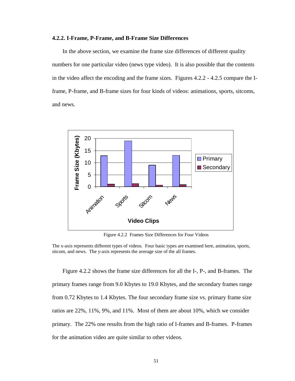#### **4.2.2. I-Frame, P-Frame, and B-Frame Size Differences**

In the above section, we examine the frame size differences of different quality numbers for one particular video (news type video). It is also possible that the contents in the video affect the encoding and the frame sizes. Figures 4.2.2 - 4.2.5 compare the Iframe, P-frame, and B-frame sizes for four kinds of videos: animations, sports, sitcoms, and news.

![](_page_51_Figure_2.jpeg)

Figure 4.2.2 Frames Size Differences for Four Videos

The x-axis represents different types of videos. Four basic types are examined here, animation, sports, sitcom, and news. The y-axis represents the average size of the all frames.

Figure 4.2.2 shows the frame size differences for all the I-, P-, and B-frames. The primary frames range from 9.0 Kbytes to 19.0 Kbytes, and the secondary frames range from 0.72 Kbytes to 1.4 Kbytes. The four secondary frame size vs. primary frame size ratios are 22%, 11%, 9%, and 11%. Most of them are about 10%, which we consider primary. The 22% one results from the high ratio of I-frames and B-frames. P-frames for the animation video are quite similar to other videos.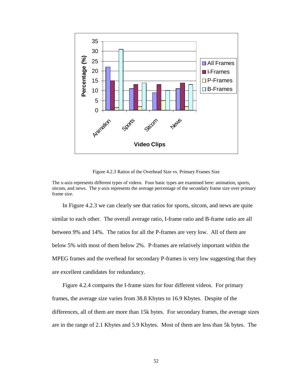![](_page_52_Figure_0.jpeg)

Figure 4.2.3 Ratios of the Overhead Size vs. Primary Frames Size

The x-axis represents different types of videos. Four basic types are examined here: animation, sports, sitcom, and news. The y-axis represents the average percentage of the secondary frame size over primary frame size.

In Figure 4.2.3 we can clearly see that ratios for sports, sitcom, and news are quite similar to each other. The overall average ratio, I-frame ratio and B-frame ratio are all between 9% and 14%. The ratios for all the P-frames are very low. All of them are below 5% with most of them below 2%. P-frames are relatively important within the MPEG frames and the overhead for secondary P-frames is very low suggesting that they are excellent candidates for redundancy.

Figure 4.2.4 compares the I-frame sizes for four different videos. For primary frames, the average size varies from 38.8 Kbytes to 16.9 Kbytes. Despite of the differences, all of them are more than 15k bytes. For secondary frames, the average sizes are in the range of 2.1 Kbytes and 5.9 Kbytes. Most of them are less than 5k bytes. The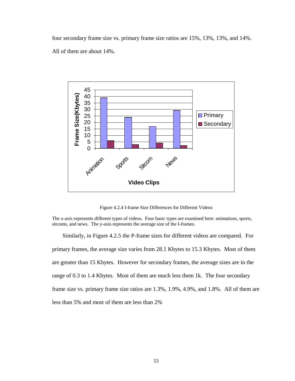four secondary frame size vs. primary frame size ratios are 15%, 13%, 13%, and 14%. All of them are about 14%.

![](_page_53_Figure_1.jpeg)

Figure 4.2.4 I-frame Size Differences for Different Videos

The x-axis represents different types of videos. Four basic types are examined here: animations, sports, sitcoms, and news. The y-axis represents the average size of the I-frames.

Similarly, in Figure 4.2.5 the P-frame sizes for different videos are compared. For primary frames, the average size varies from 28.1 Kbytes to 15.3 Kbytes. Most of them are greater than 15 Kbytes. However for secondary frames, the average sizes are in the range of 0.3 to 1.4 Kbytes. Most of them are much less them 1k. The four secondary frame size vs. primary frame size ratios are 1.3%, 1.9%, 4.9%, and 1.8%. All of them are less than 5% and most of them are less than 2%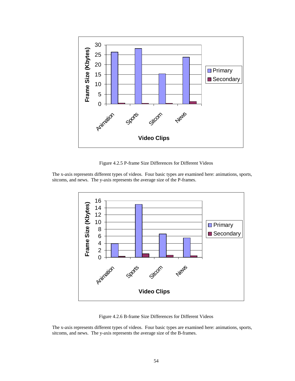![](_page_54_Figure_0.jpeg)

Figure 4.2.5 P-frame Size Differences for Different Videos

The x-axis represents different types of videos. Four basic types are examined here: animations, sports, sitcoms, and news. The y-axis represents the average size of the P-frames.

![](_page_54_Figure_3.jpeg)

Figure 4.2.6 B-frame Size Differences for Different Videos

The x-axis represents different types of videos. Four basic types are examined here: animations, sports, sitcoms, and news. The y-axis represents the average size of the B-frames.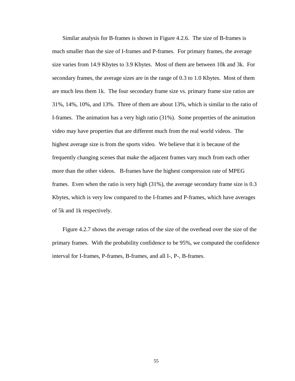Similar analysis for B-frames is shown in Figure 4.2.6. The size of B-frames is much smaller than the size of I-frames and P-frames. For primary frames, the average size varies from 14.9 Kbytes to 3.9 Kbytes. Most of them are between 10k and 3k. For secondary frames, the average sizes are in the range of 0.3 to 1.0 Kbytes. Most of them are much less them 1k. The four secondary frame size vs. primary frame size ratios are 31%, 14%, 10%, and 13%. Three of them are about 13%, which is similar to the ratio of I-frames. The animation has a very high ratio (31%). Some properties of the animation video may have properties that are different much from the real world videos. The highest average size is from the sports video. We believe that it is because of the frequently changing scenes that make the adjacent frames vary much from each other more than the other videos. B-frames have the highest compression rate of MPEG frames. Even when the ratio is very high (31%), the average secondary frame size is 0.3 Kbytes, which is very low compared to the I-frames and P-frames, which have averages of 5k and 1k respectively.

Figure 4.2.7 shows the average ratios of the size of the overhead over the size of the primary frames. With the probability confidence to be 95%, we computed the confidence interval for I-frames, P-frames, B-frames, and all I-, P-, B-frames.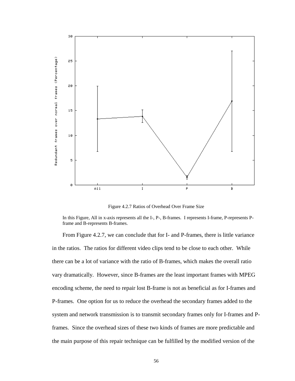![](_page_56_Figure_0.jpeg)

Figure 4.2.7 Ratios of Overhead Over Frame Size

In this Figure, All in x-axis represents all the I-, P-, B-frames. I represents I-frame, P-represents Pframe and B-represents B-frames.

From Figure 4.2.7, we can conclude that for I- and P-frames, there is little variance in the ratios. The ratios for different video clips tend to be close to each other. While there can be a lot of variance with the ratio of B-frames, which makes the overall ratio vary dramatically. However, since B-frames are the least important frames with MPEG encoding scheme, the need to repair lost B-frame is not as beneficial as for I-frames and P-frames. One option for us to reduce the overhead the secondary frames added to the system and network transmission is to transmit secondary frames only for I-frames and Pframes. Since the overhead sizes of these two kinds of frames are more predictable and the main purpose of this repair technique can be fulfilled by the modified version of the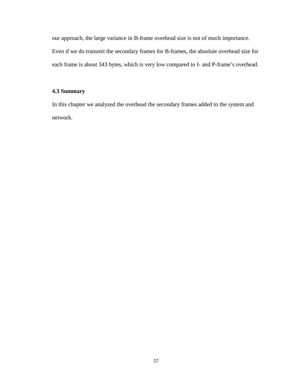our approach, the large variance in B-frame overhead size is not of much importance. Even if we do transmit the secondary frames for B-frames, the absolute overhead size for each frame is about 343 bytes, which is very low compared to I- and P-frame's overhead.

### **4.3 Summary**

In this chapter we analyzed the overhead the secondary frames added to the system and network.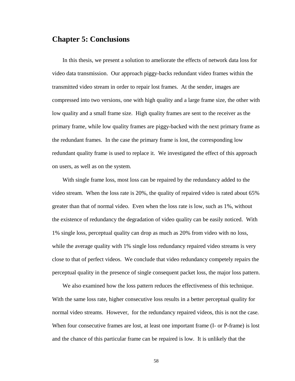## **Chapter 5: Conclusions**

In this thesis, we present a solution to ameliorate the effects of network data loss for video data transmission. Our approach piggy-backs redundant video frames within the transmitted video stream in order to repair lost frames. At the sender, images are compressed into two versions, one with high quality and a large frame size, the other with low quality and a small frame size. High quality frames are sent to the receiver as the primary frame, while low quality frames are piggy-backed with the next primary frame as the redundant frames. In the case the primary frame is lost, the corresponding low redundant quality frame is used to replace it. We investigated the effect of this approach on users, as well as on the system.

With single frame loss, most loss can be repaired by the redundancy added to the video stream. When the loss rate is 20%, the quality of repaired video is rated about 65% greater than that of normal video. Even when the loss rate is low, such as 1%, without the existence of redundancy the degradation of video quality can be easily noticed. With 1% single loss, perceptual quality can drop as much as 20% from video with no loss, while the average quality with 1% single loss redundancy repaired video streams is very close to that of perfect videos. We conclude that video redundancy competely repairs the perceptual quality in the presence of single consequent packet loss, the major loss pattern.

We also examined how the loss pattern reduces the effectiveness of this technique. With the same loss rate, higher consecutive loss results in a better perceptual quality for normal video streams. However, for the redundancy repaired videos, this is not the case. When four consecutive frames are lost, at least one important frame (I- or P-frame) is lost and the chance of this particular frame can be repaired is low. It is unlikely that the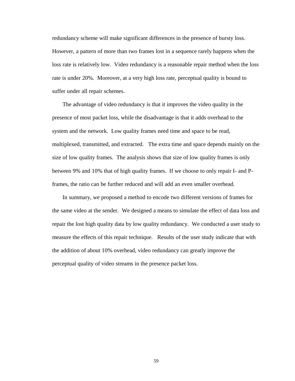redundancy scheme will make significant differences in the presence of bursty loss. However, a pattern of more than two frames lost in a sequence rarely happens when the loss rate is relatively low. Video redundancy is a reasonable repair method when the loss rate is under 20%. Moreover, at a very high loss rate, perceptual quality is bound to suffer under all repair schemes.

The advantage of video redundancy is that it improves the video quality in the presence of most packet loss, while the disadvantage is that it adds overhead to the system and the network. Low quality frames need time and space to be read, multiplexed, transmitted, and extracted. The extra time and space depends mainly on the size of low quality frames. The analysis shows that size of low quality frames is only between 9% and 10% that of high quality frames. If we choose to only repair I- and Pframes, the ratio can be further reduced and will add an even smaller overhead.

In summary, we proposed a method to encode two different versions of frames for the same video at the sender. We designed a means to simulate the effect of data loss and repair the lost high quality data by low quality redundancy. We conducted a user study to measure the effects of this repair technique. Results of the user study indicate that with the addition of about 10% overhead, video redundancy can greatly improve the perceptual quality of video streams in the presence packet loss.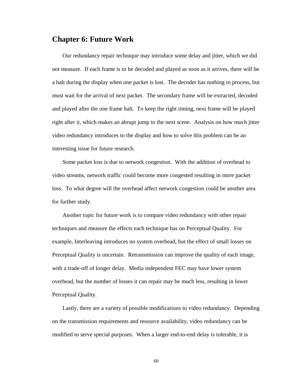### **Chapter 6: Future Work**

Our redundancy repair technique may introduce some delay and jitter, which we did not measure. If each frame is to be decoded and played as soon as it arrives, there will be a halt during the display when one packet is lost. The decoder has nothing to process, but must wait for the arrival of next packet. The secondary frame will be extracted, decoded and played after the one frame halt. To keep the right timing, next frame will be played right after it, which makes an abrupt jump to the next scene. Analysis on how much jitter video redundancy introduces to the display and how to solve this problem can be an interesting issue for future research.

Some packet loss is due to network congestion. With the addition of overhead to video streams, network traffic could become more congested resulting in more packet loss. To what degree will the overhead affect network congestion could be another area for further study.

Another topic for future work is to compare video redundancy with other repair techniques and measure the effects each technique has on Perceptual Quality. For example, Interleaving introduces no system overhead, but the effect of small losses on Perceptual Quality is uncertain. Retransmission can improve the quality of each image, with a trade-off of longer delay. Media independent FEC may have lower system overhead, but the number of losses it can repair may be much less, resulting in lower Perceptual Quality.

Lastly, there are a variety of possible modifications to video redundancy. Depending on the transmission requirements and resource availability, video redundancy can be modified to serve special purposes. When a larger end-to-end delay is tolerable, it is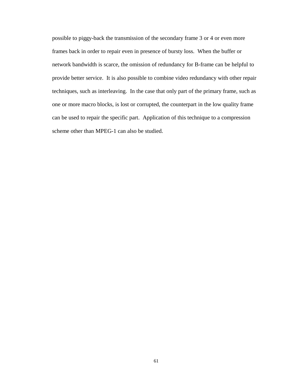possible to piggy-back the transmission of the secondary frame 3 or 4 or even more frames back in order to repair even in presence of bursty loss. When the buffer or network bandwidth is scarce, the omission of redundancy for B-frame can be helpful to provide better service. It is also possible to combine video redundancy with other repair techniques, such as interleaving. In the case that only part of the primary frame, such as one or more macro blocks, is lost or corrupted, the counterpart in the low quality frame can be used to repair the specific part. Application of this technique to a compression scheme other than MPEG-1 can also be studied.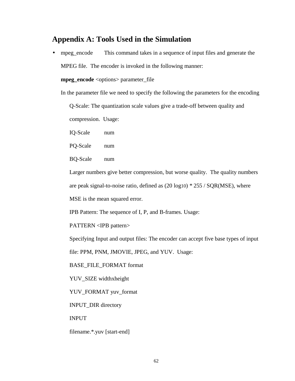### **Appendix A: Tools Used in the Simulation**

• mpeg\_encode This command takes in a sequence of input files and generate the

MPEG file. The encoder is invoked in the following manner:

**mpeg\_encode** <options> parameter\_file

In the parameter file we need to specify the following the parameters for the encoding

Q-Scale: The quantization scale values give a trade-off between quality and

compression. Usage:

IQ-Scale num

PQ-Scale num

BQ-Scale num

Larger numbers give better compression, but worse quality. The quality numbers

are peak signal-to-noise ratio, defined as (20 log10) \* 255 / SQR(MSE), where

MSE is the mean squared error.

IPB Pattern: The sequence of I, P, and B-frames. Usage:

PATTERN <IPB pattern>

Specifying Input and output files: The encoder can accept five base types of input

file: PPM, PNM, JMOVIE, JPEG, and YUV. Usage:

BASE\_FILE\_FORMAT format

YUV\_SIZE widthxheight

YUV\_FORMAT yuv\_format

INPUT\_DIR directory

INPUT

filename.\*.yuv [start-end]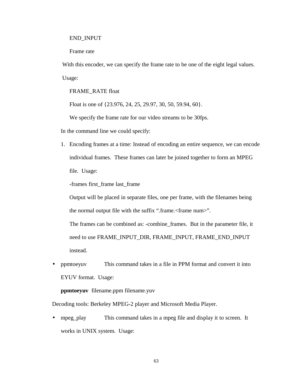#### END\_INPUT

Frame rate

With this encoder, we can specify the frame rate to be one of the eight legal values. Usage:

FRAME\_RATE float

Float is one of {23.976, 24, 25, 29.97, 30, 50, 59.94, 60}.

We specify the frame rate for our video streams to be 30fps.

In the command line we could specify:

1. Encoding frames at a time: Instead of encoding an entire sequence, we can encode individual frames. These frames can later be joined together to form an MPEG file. Usage:

-frames first\_frame last\_frame

Output will be placed in separate files, one per frame, with the filenames being the normal output file with the suffix ".frame.<frame num>".

The frames can be combined as: -combine\_frames. But in the parameter file, it need to use FRAME\_INPUT\_DIR, FRAME\_INPUT, FRAME\_END\_INPUT instead.

• ppmtoeyuv This command takes in a file in PPM format and convert it into EYUV format. Usage:

**ppmtoeyuv** filename.ppm filename.yuv

Decoding tools: Berkeley MPEG-2 player and Microsoft Media Player.

• mpeg\_play This command takes in a mpeg file and display it to screen. It works in UNIX system. Usage: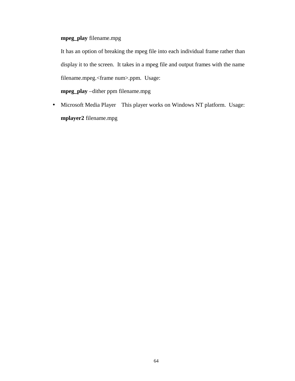### **mpeg\_play** filename.mpg

It has an option of breaking the mpeg file into each individual frame rather than display it to the screen. It takes in a mpeg file and output frames with the name filename.mpeg.<frame num>.ppm. Usage:

**mpeg\_play** –dither ppm filename.mpg

• Microsoft Media Player This player works on Windows NT platform. Usage: **mplayer2** filename.mpg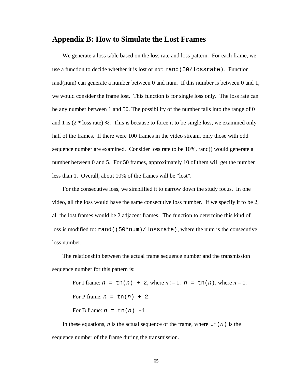### **Appendix B: How to Simulate the Lost Frames**

We generate a loss table based on the loss rate and loss pattern. For each frame, we use a function to decide whether it is lost or not: rand(50/lossrate). Function rand(num) can generate a number between 0 and num. If this number is between 0 and 1, we would consider the frame lost. This function is for single loss only. The loss rate can be any number between 1 and 50. The possibility of the number falls into the range of 0 and 1 is  $(2 * loss rate)$ %. This is because to force it to be single loss, we examined only half of the frames. If there were 100 frames in the video stream, only those with odd sequence number are examined. Consider loss rate to be 10%, rand() would generate a number between 0 and 5. For 50 frames, approximately 10 of them will get the number less than 1. Overall, about 10% of the frames will be "lost".

For the consecutive loss, we simplified it to narrow down the study focus. In one video, all the loss would have the same consecutive loss number. If we specify it to be 2, all the lost frames would be 2 adjacent frames. The function to determine this kind of loss is modified to: rand ( $(50*num)/lossrate$ ), where the num is the consecutive loss number.

The relationship between the actual frame sequence number and the transmission sequence number for this pattern is:

For I frame:  $n = \text{tn}(n) + 2$ , where  $n! = 1$ .  $n = \text{tn}(n)$ , where  $n = 1$ . For P frame:  $n = \text{tn}(n) + 2$ . For B frame:  $n = \text{tn}(n) -1$ .

In these equations, *n* is the actual sequence of the frame, where  $tn(n)$  is the sequence number of the frame during the transmission.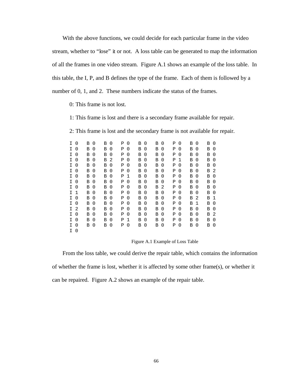With the above functions, we could decide for each particular frame in the video stream, whether to "lose" it or not. A loss table can be generated to map the information of all the frames in one video stream. Figure A.1 shows an example of the loss table. In this table, the I, P, and B defines the type of the frame. Each of them is followed by a number of 0, 1, and 2. These numbers indicate the status of the frames.

0: This frame is not lost.

1: This frame is lost and there is a secondary frame available for repair.

2: This frame is lost and the secondary frame is not available for repair.

| I. | O           | в | 0        | В | 0        | Ρ | 0           | В | 0        | В | 0              | Ρ | O        | В | 0        | В | $\Omega$    |
|----|-------------|---|----------|---|----------|---|-------------|---|----------|---|----------------|---|----------|---|----------|---|-------------|
| I. | 0           | В | 0        | В | 0        | Ρ | 0           | В | 0        | В | $\Omega$       | Ρ | 0        | В | 0        | В | $\Omega$    |
| I. | 0           | В | 0        | В | 0        | Ρ | 0           | В | 0        | В | 0              | Ρ | 0        | В | 0        | В | $\Omega$    |
| I. | 0           | В | $\Omega$ | В | 2        | Ρ | 0           | В | 0        | В | 0              | Ρ | 1        | В | 0        | В | $\Omega$    |
| I. | 0           | В | 0        | В | 0        | Ρ | 0           | В | 0        | В | $\Omega$       | Ρ | 0        | В | 0        | В | $\mathbf 0$ |
| I. | 0           | В | $\Omega$ | В | 0        | Ρ | $\Omega$    | В | 0        | В | $\Omega$       | Ρ | 0        | В | 0        | В | 2           |
| I. | $\mathbf 0$ | В | 0        | В | 0        | Ρ | $\mathbf 1$ | В | 0        | В | 0              | Ρ | 0        | В | 0        | В | $\mathbf 0$ |
| I. | 0           | В | 0        | В | 0        | Ρ | $\Omega$    | В | 0        | В | 0              | Ρ | 0        | В | 0        | В | 0           |
| I. | $\Omega$    | В | 0        | В | $\Omega$ | Ρ | 0           | В | $\Omega$ | В | $\overline{2}$ | Ρ | 0        | В | 0        | В | $\Omega$    |
| I. | 1           | В | $\Omega$ | В | $\Omega$ | Ρ | $\Omega$    | В | 0        | В | $\Omega$       | Ρ | 0        | В | 0        | В | $\Omega$    |
| I. | 0           | В | 0        | В | $\Omega$ | Ρ | $\Omega$    | В | 0        | В | $\Omega$       | Ρ | 0        | В | 2        | В | 1           |
| I. | 0           | В | 0        | В | $\Omega$ | Ρ | 0           | В | 0        | В | 0              | Ρ | 0        | В | 1        | В | $\mathbf 0$ |
| I. | 2           | В | $\Omega$ | В | 0        | Ρ | $\Omega$    | В | $\Omega$ | В | $\Omega$       | Ρ | 0        | В | $\Omega$ | В | $\Omega$    |
| I. | $\Omega$    | В | $\Omega$ | В | $\Omega$ | Ρ | 0           | В | 0        | В | 0              | Ρ | 0        | В | 0        | В | 2           |
| I. | 0           | В | $\Omega$ | B | $\Omega$ | Ρ | 1           | B | 0        | Β | $\Omega$       | Ρ | $\Omega$ | B | 0        | В | $\Omega$    |
| I. | 0           | В | 0        | В | 0        | Ρ | 0           | В | 0        | В | 0              | Ρ | 0        | В | 0        | В | 0           |
| I. | 0           |   |          |   |          |   |             |   |          |   |                |   |          |   |          |   |             |

Figure A.1 Example of Loss Table

From the loss table, we could derive the repair table, which contains the information of whether the frame is lost, whether it is affected by some other frame(s), or whether it can be repaired. Figure A.2 shows an example of the repair table.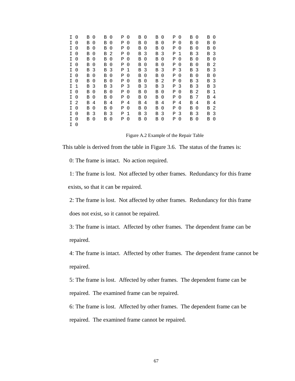| I  | $\Omega$ | в | 0        | в | 0        | Ρ |             | 0            | в | 0 | В | $\Omega$    | Ρ | 0           | В | 0        | В | $\Omega$     |
|----|----------|---|----------|---|----------|---|-------------|--------------|---|---|---|-------------|---|-------------|---|----------|---|--------------|
| I  | $\Omega$ | В | $\Omega$ | В | 0        | Ρ |             | 0            | Β | 0 | В | $\Omega$    | Ρ | 0           | В | $\Omega$ | В | 0            |
| I  | $\Omega$ | В | 0        | В | 0        | Ρ |             | $\Omega$     | B | 0 | В | $\Omega$    | Ρ | $\Omega$    | B | $\Omega$ | В | $\Omega$     |
| I. | 0        | В | 0        | В | 2        | Ρ |             | 0            | В | 3 | В | 3           | Ρ | $\mathbf 1$ | В | 3        | В | 3            |
| I. | $\Omega$ | в | 0        | В | 0        | Ρ |             | 0            | В | 0 | В | $\mathbf 0$ | Ρ | 0           | В | 0        | В | $\mathbf{0}$ |
| I. | $\Omega$ | В | 0        | В | 0        | Ρ |             | 0            | Β | 0 | В | $\Omega$    | Ρ | 0           | В | $\Omega$ | В | 2            |
| I. | 0        | В | 3        | В | 3        | Ρ |             | 1            | Β | 3 | В | 3           | Ρ | 3           | В | - 3      | В | 3            |
| I. | $\Omega$ | В | 0        | В | $\Omega$ | Ρ |             | 0            | Β | 0 | В | $\Omega$    | Ρ | $\Omega$    | В | $\Omega$ | В | $\Omega$     |
| I  | 0        | в | 0        | В | 0        | Ρ |             | 0            | В | 0 | В | 2           | Ρ | 0           | В | 3        | В | 3            |
| I. | 1        | В | 3        | В | 3        | Ρ | 3           |              | Β | 3 | В | 3           | Ρ | 3           | B | 3        | В | 3            |
| I. | $\Omega$ | В | 0        | В | 0        | Ρ |             | $\mathbf{0}$ | Β | 0 | В | $\Omega$    | Ρ | $\Omega$    | В | 2        | В | 1            |
| I. | 0        | В | 0        | В | 0        | Ρ |             | 0            | Β | 0 | В | $\Omega$    | Ρ | $\Omega$    | В | 7        | В | 4            |
| I. | 2        | в | 4        | В | 4        | Ρ |             | 4            | В | 4 | В | 4           | Ρ | 4           | В | 4        | В | 4            |
| I. | 0        | В | 0        | В | 0        | Ρ |             | 0            | B | 0 | В | 0           | Ρ | 0           | В | $\Omega$ | В | 2            |
| I  | $\Omega$ | в | 3        | Β | 3        | Ρ | $\mathbf 1$ |              | в | 3 | В | 3           | Ρ | 3           | В | 3        | В | 3            |
| I  | 0        | В | 0        | в | 0        | Ρ |             | 0            | В | 0 | В | 0           | Ρ | 0           | В | 0        | В | 0            |
| I. | 0        |   |          |   |          |   |             |              |   |   |   |             |   |             |   |          |   |              |

Figure A.2 Example of the Repair Table

This table is derived from the table in Figure 3.6. The status of the frames is:

0: The frame is intact. No action required.

1: The frame is lost. Not affected by other frames. Redundancy for this frame exists, so that it can be repaired.

2: The frame is lost. Not affected by other frames. Redundancy for this frame does not exist, so it cannot be repaired.

3: The frame is intact. Affected by other frames. The dependent frame can be repaired.

4: The frame is intact. Affected by other frames. The dependent frame cannot be repaired.

5: The frame is lost. Affected by other frames. The dependent frame can be repaired. The examined frame can be repaired.

6: The frame is lost. Affected by other frames. The dependent frame can be repaired. The examined frame cannot be repaired.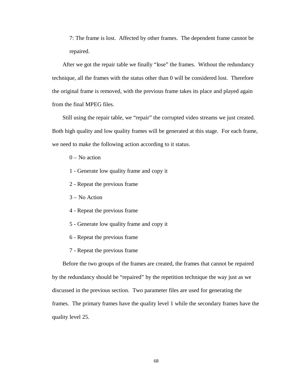7: The frame is lost. Affected by other frames. The dependent frame cannot be repaired.

After we got the repair table we finally "lose" the frames. Without the redundancy technique, all the frames with the status other than 0 will be considered lost. Therefore the original frame is removed, with the previous frame takes its place and played again from the final MPEG files.

Still using the repair table, we "repair" the corrupted video streams we just created. Both high quality and low quality frames will be generated at this stage. For each frame, we need to make the following action according to it status.

- $0 No$  action
- 1 Generate low quality frame and copy it
- 2 Repeat the previous frame
- 3 No Action
- 4 Repeat the previous frame
- 5 Generate low quality frame and copy it
- 6 Repeat the previous frame
- 7 Repeat the previous frame

Before the two groups of the frames are created, the frames that cannot be repaired by the redundancy should be "repaired" by the repetition technique the way just as we discussed in the previous section. Two parameter files are used for generating the frames. The primary frames have the quality level 1 while the secondary frames have the quality level 25.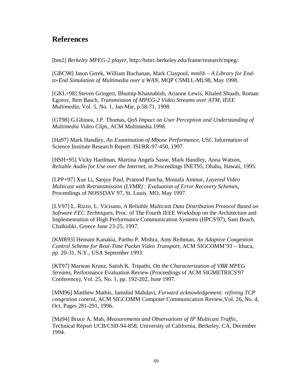## **References**

[bm2] *Berkeley MPEG-2 player*, http://bmrc.berkeley.edu/frame/research/mpeg/.

[GBC98] Jason Gerek, William Buchanan, Mark Claypool, *mmlib – A Library for Endto-End Simulation of Multimedia over a WAN*, MQP CSMLL-ML98, May 1998.

[GKL+98] Steven Gringeri, Bhumip Khasnabish, Arianne Lewis, Khaled Shuaib, Roman Egorov, Bert Basch, *Transmission of MPEG-2 Video Streams over ATM, IEEE Multimedia,* Vol. 5, No. 1, Jan-Mar, p.58-71, 1998.

[GT98] G.Ghinea, J.P. Thomas, *QoS Impact on User Perception and Understanding of Multimedia Video Clips*, ACM Multimedia 1998.

[Ha97] Mark Handley, *An Examination of Mbone Performance*, USC Information of Science Institute Research Report: ISI/RR-97-450, 1997.

[HSH+95] Vicky Hardman, Martina Angela Sasse, Mark Handley, Anna Watson, *Reliable Audio for Use over the Internet*, in Proceedings INET95, Ohahu, Hawaii, 1995.

[LPP+97] Xue Li, Sanjoy Paul, Pramod Pancha, Mostafa Ammar, *Layered Video Multicast with Retransmission (LVMR) : Evaluation of Error Recovery Schemes*, Proceedings of NOSSDAV 97, St. Louis. MO, May 1997.

[LV97] L. Rizzo, L. Vicisano*, A Reliable Multicast Data Distribution Protocol Based on Software FEC Technique*s, Proc. of The Fourth IEEE Workshop on the Architecture and Implementation of High Performance Communication Systems (HPCS'97), Sani Beach, Chalkidiki, Greece June 23-25, 1997.

[KMR93] Hemant Kanakia, Partho P. Mishra, Amy Reibman, *An Adaptive Congestion Control Scheme for Real-Time Packet Video Transport*, ACM SIGCOMM'93 – Ithaca, pp. 20-31, N.Y., USA September 1993.

[KT97] Marwan Krunz, Satish K. Tripathi, *On the Characterization of VBR MPEG Streams*, Performance Evaluation Review (Proceedings of ACM SIGMETRICS'97 Conference*)*, Vol. 25, No. 1, pp. 192-202, June 1997.

[MM96] Matthew Mathis, Jamshid Mahdavi, *Forward acknowledgement: refining TCP congestion control*, ACM SIGCOMM Computer Communication Review*,*Vol. 26, No. 4, Oct, Pages 281-291, 1996.

[Ma94] Bruce A. Mah, *Measurements and Observations of IP Multicast Traffic*, Technical Report UCB/CSD-94-858, University of California, Berkeley, CA, December 1994.